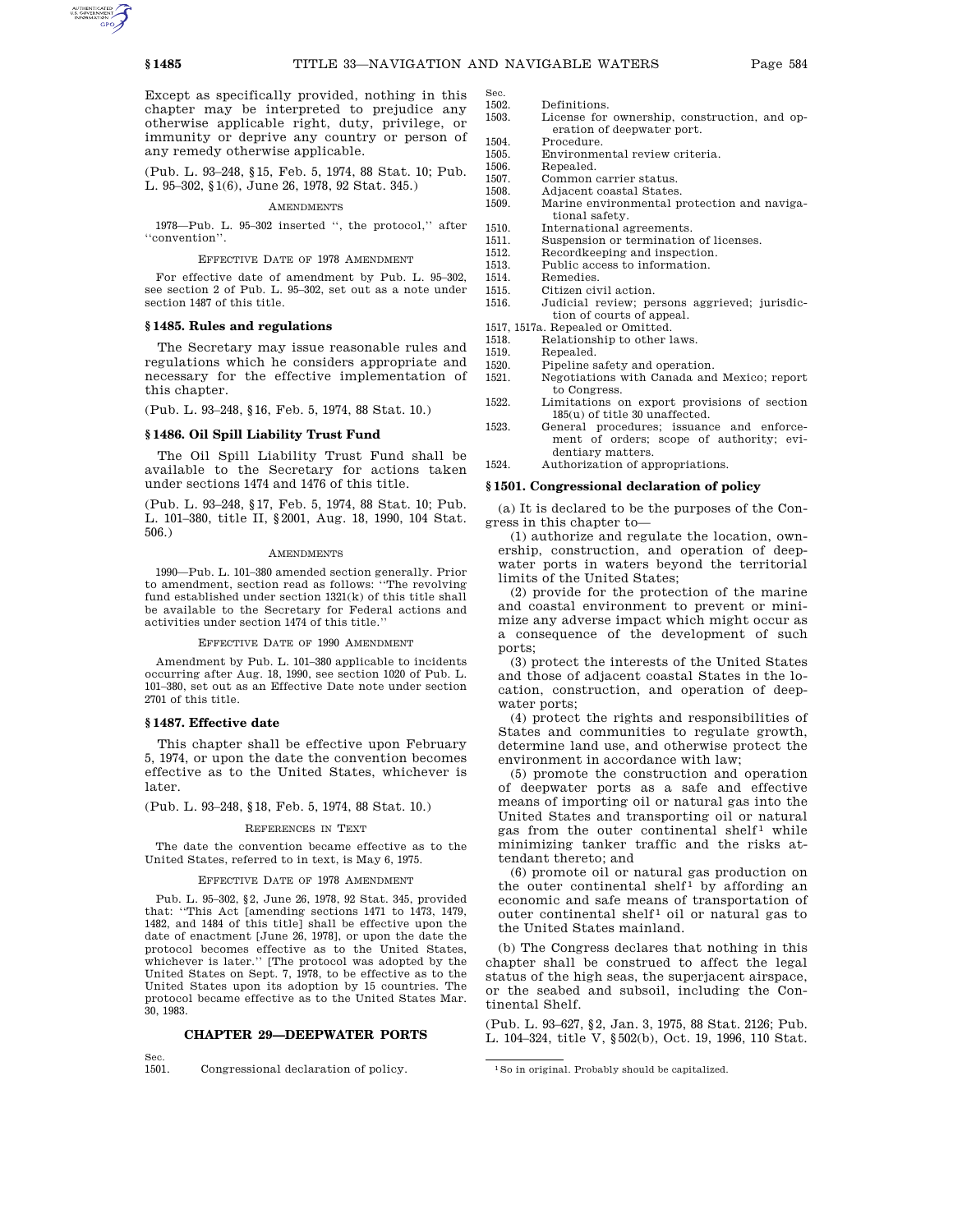Sec.

Except as specifically provided, nothing in this chapter may be interpreted to prejudice any otherwise applicable right, duty, privilege, or immunity or deprive any country or person of any remedy otherwise applicable.

(Pub. L. 93–248, §15, Feb. 5, 1974, 88 Stat. 10; Pub. L. 95–302, §1(6), June 26, 1978, 92 Stat. 345.)

#### **AMENDMENTS**

1978—Pub. L. 95–302 inserted '', the protocol,'' after ''convention''.

#### EFFECTIVE DATE OF 1978 AMENDMENT

For effective date of amendment by Pub. L. 95–302, see section 2 of Pub. L. 95–302, set out as a note under section 1487 of this title.

### **§ 1485. Rules and regulations**

The Secretary may issue reasonable rules and regulations which he considers appropriate and necessary for the effective implementation of this chapter.

(Pub. L. 93–248, §16, Feb. 5, 1974, 88 Stat. 10.)

## **§ 1486. Oil Spill Liability Trust Fund**

The Oil Spill Liability Trust Fund shall be available to the Secretary for actions taken under sections 1474 and 1476 of this title.

(Pub. L. 93–248, §17, Feb. 5, 1974, 88 Stat. 10; Pub. L. 101–380, title II, §2001, Aug. 18, 1990, 104 Stat. 506.)

### AMENDMENTS

1990—Pub. L. 101–380 amended section generally. Prior to amendment, section read as follows: ''The revolving fund established under section 1321(k) of this title shall be available to the Secretary for Federal actions and activities under section 1474 of this title.''

EFFECTIVE DATE OF 1990 AMENDMENT

Amendment by Pub. L. 101–380 applicable to incidents occurring after Aug. 18, 1990, see section 1020 of Pub. L. 101–380, set out as an Effective Date note under section 2701 of this title.

### **§ 1487. Effective date**

This chapter shall be effective upon February 5, 1974, or upon the date the convention becomes effective as to the United States, whichever is later.

(Pub. L. 93–248, §18, Feb. 5, 1974, 88 Stat. 10.)

#### REFERENCES IN TEXT

The date the convention became effective as to the United States, referred to in text, is May 6, 1975.

#### EFFECTIVE DATE OF 1978 AMENDMENT

Pub. L. 95–302, §2, June 26, 1978, 92 Stat. 345, provided that: ''This Act [amending sections 1471 to 1473, 1479, 1482, and 1484 of this title] shall be effective upon the date of enactment [June 26, 1978], or upon the date the protocol becomes effective as to the United States, whichever is later.'' [The protocol was adopted by the United States on Sept. 7, 1978, to be effective as to the United States upon its adoption by 15 countries. The protocol became effective as to the United States Mar. 30, 1983.

# **CHAPTER 29—DEEPWATER PORTS**

Sec.<br>1501.

Congressional declaration of policy.

- 1502. Definitions.<br>1503. License for
	- License for ownership, construction, and operation of deepwater port.
- 1504. Procedure.
- 1505. Environmental review criteria.
- 1506. Repealed.
- 1507. Common carrier status.
- 1508. Adjacent coastal States. 1509. Marine environmental protection and naviga
	- tional safety.
- 1510. International agreements.
- 1511. Suspension or termination of licenses.<br>1512. Recordkeeping and inspection. Recordkeeping and inspection.
- 1513. Public access to information.
- 
- 1514. Remedies.<br>1515. Citizen civ Citizen civil action.
- 1516. Judicial review; persons aggrieved; jurisdiction of courts of appeal.
- 1517, 1517a. Repealed or Omitted.
- 1518. Relationship to other laws.<br>1519. Repealed.
- 1519. Repealed.<br>1520. Pipeline s
	- Pipeline safety and operation.
- 1521. Negotiations with Canada and Mexico; report to Congress.
- 1522. Limitations on export provisions of section 185(u) of title 30 unaffected.
- 1523. General procedures; issuance and enforcement of orders; scope of authority; evidentiary matters.

1524. Authorization of appropriations.

### **§ 1501. Congressional declaration of policy**

(a) It is declared to be the purposes of the Congress in this chapter to—

(1) authorize and regulate the location, ownership, construction, and operation of deepwater ports in waters beyond the territorial limits of the United States;

(2) provide for the protection of the marine and coastal environment to prevent or minimize any adverse impact which might occur as a consequence of the development of such ports;

(3) protect the interests of the United States and those of adjacent coastal States in the location, construction, and operation of deepwater ports;

(4) protect the rights and responsibilities of States and communities to regulate growth, determine land use, and otherwise protect the environment in accordance with law;

(5) promote the construction and operation of deepwater ports as a safe and effective means of importing oil or natural gas into the United States and transporting oil or natural gas from the outer continental shelf<sup>1</sup> while minimizing tanker traffic and the risks attendant thereto; and

(6) promote oil or natural gas production on the outer continental shelf<sup>1</sup> by affording an economic and safe means of transportation of  $\overline{\text{outer}}$  continental shelf<sup>1</sup> oil or natural gas to the United States mainland.

(b) The Congress declares that nothing in this chapter shall be construed to affect the legal status of the high seas, the superjacent airspace, or the seabed and subsoil, including the Continental Shelf.

(Pub. L. 93–627, §2, Jan. 3, 1975, 88 Stat. 2126; Pub. L. 104–324, title V, §502(b), Oct. 19, 1996, 110 Stat.

<sup>1</sup>So in original. Probably should be capitalized.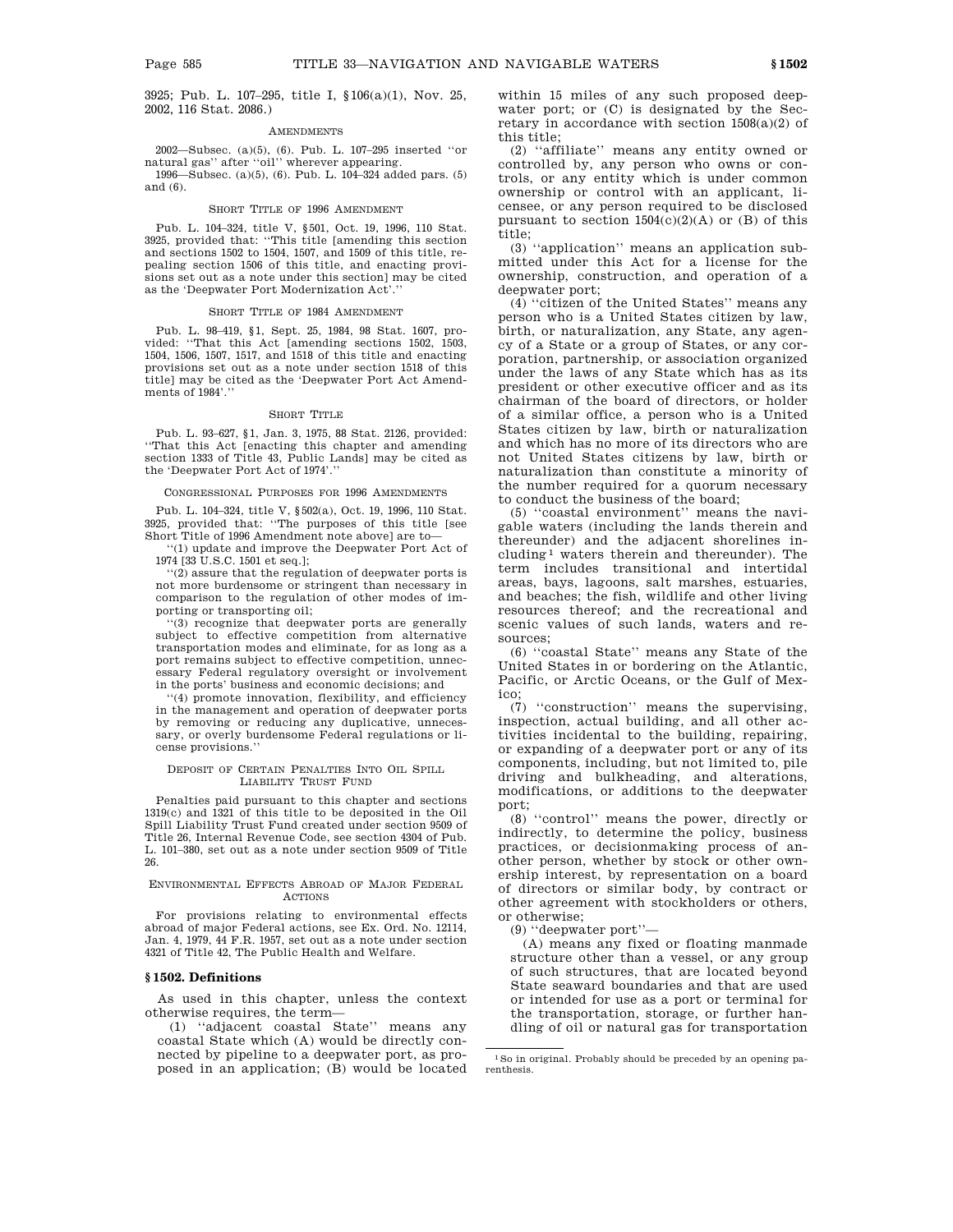3925; Pub. L. 107–295, title I, §106(a)(1), Nov. 25, 2002, 116 Stat. 2086.)

#### **AMENDMENTS**

2002—Subsec. (a)(5), (6). Pub. L. 107–295 inserted ''or natural gas'' after ''oil'' wherever appearing.

1996—Subsec. (a)(5), (6). Pub. L. 104–324 added pars. (5) and (6).

#### SHORT TITLE OF 1996 AMENDMENT

Pub. L. 104–324, title V, §501, Oct. 19, 1996, 110 Stat. 3925, provided that: ''This title [amending this section and sections 1502 to 1504, 1507, and 1509 of this title, repealing section 1506 of this title, and enacting provisions set out as a note under this section] may be cited as the 'Deepwater Port Modernization Act'.''

#### SHORT TITLE OF 1984 AMENDMENT

Pub. L. 98–419, §1, Sept. 25, 1984, 98 Stat. 1607, provided: ''That this Act [amending sections 1502, 1503, 1504, 1506, 1507, 1517, and 1518 of this title and enacting provisions set out as a note under section 1518 of this title] may be cited as the 'Deepwater Port Act Amendments of 1984'.''

#### SHORT TITLE

Pub. L. 93–627, §1, Jan. 3, 1975, 88 Stat. 2126, provided: ''That this Act [enacting this chapter and amending section 1333 of Title 43, Public Lands] may be cited as the 'Deepwater Port Act of 1974'.''

#### CONGRESSIONAL PURPOSES FOR 1996 AMENDMENTS

Pub. L. 104–324, title V, §502(a), Oct. 19, 1996, 110 Stat. 3925, provided that: ''The purposes of this title [see Short Title of 1996 Amendment note above] are to—

'(1) update and improve the Deepwater Port Act of 1974 [33 U.S.C. 1501 et seq.];

''(2) assure that the regulation of deepwater ports is not more burdensome or stringent than necessary in comparison to the regulation of other modes of importing or transporting oil;

''(3) recognize that deepwater ports are generally subject to effective competition from alternative transportation modes and eliminate, for as long as a port remains subject to effective competition, unnecessary Federal regulatory oversight or involvement in the ports' business and economic decisions; and

''(4) promote innovation, flexibility, and efficiency in the management and operation of deepwater ports by removing or reducing any duplicative, unnecessary, or overly burdensome Federal regulations or license provisions.''

### DEPOSIT OF CERTAIN PENALTIES INTO OIL SPILL LIABILITY TRUST FUND

Penalties paid pursuant to this chapter and sections 1319(c) and 1321 of this title to be deposited in the Oil Spill Liability Trust Fund created under section 9509 of Title 26, Internal Revenue Code, see section 4304 of Pub. L. 101–380, set out as a note under section 9509 of Title 26.

#### ENVIRONMENTAL EFFECTS ABROAD OF MAJOR FEDERAL ACTIONS

For provisions relating to environmental effects abroad of major Federal actions, see Ex. Ord. No. 12114, Jan. 4, 1979, 44 F.R. 1957, set out as a note under section 4321 of Title 42, The Public Health and Welfare.

# **§ 1502. Definitions**

As used in this chapter, unless the context otherwise requires, the term—

(1) ''adjacent coastal State'' means any coastal State which (A) would be directly connected by pipeline to a deepwater port, as proposed in an application; (B) would be located within 15 miles of any such proposed deepwater port; or (C) is designated by the Secretary in accordance with section  $1508(a)(2)$  of this title;

(2) ''affiliate'' means any entity owned or controlled by, any person who owns or controls, or any entity which is under common ownership or control with an applicant, licensee, or any person required to be disclosed pursuant to section  $1504(c)(2)(A)$  or (B) of this title;

(3) ''application'' means an application submitted under this Act for a license for the ownership, construction, and operation of a deepwater port;

(4) ''citizen of the United States'' means any person who is a United States citizen by law, birth, or naturalization, any State, any agency of a State or a group of States, or any corporation, partnership, or association organized under the laws of any State which has as its president or other executive officer and as its chairman of the board of directors, or holder of a similar office, a person who is a United States citizen by law, birth or naturalization and which has no more of its directors who are not United States citizens by law, birth or naturalization than constitute a minority of the number required for a quorum necessary to conduct the business of the board;

(5) ''coastal environment'' means the navigable waters (including the lands therein and thereunder) and the adjacent shorelines including 1 waters therein and thereunder). The term includes transitional and intertidal areas, bays, lagoons, salt marshes, estuaries, and beaches; the fish, wildlife and other living resources thereof; and the recreational and scenic values of such lands, waters and resources;

(6) ''coastal State'' means any State of the United States in or bordering on the Atlantic, Pacific, or Arctic Oceans, or the Gulf of Mexico;

(7) ''construction'' means the supervising, inspection, actual building, and all other activities incidental to the building, repairing, or expanding of a deepwater port or any of its components, including, but not limited to, pile driving and bulkheading, and alterations, modifications, or additions to the deepwater port;

(8) ''control'' means the power, directly or indirectly, to determine the policy, business practices, or decisionmaking process of another person, whether by stock or other ownership interest, by representation on a board of directors or similar body, by contract or other agreement with stockholders or others, or otherwise;

(9) ''deepwater port''—

(A) means any fixed or floating manmade structure other than a vessel, or any group of such structures, that are located beyond State seaward boundaries and that are used or intended for use as a port or terminal for the transportation, storage, or further handling of oil or natural gas for transportation

<sup>1</sup>So in original. Probably should be preceded by an opening parenthesis.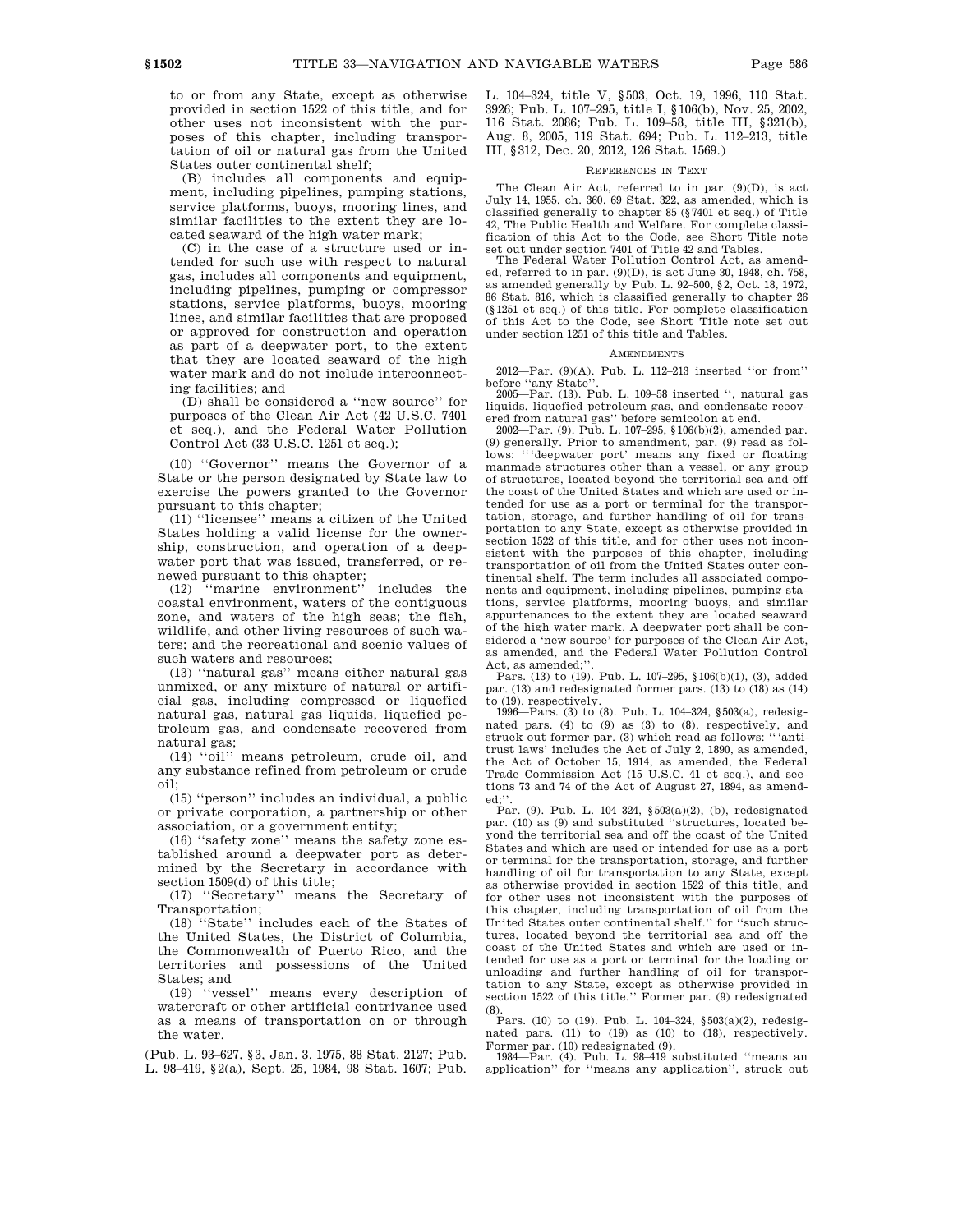to or from any State, except as otherwise provided in section 1522 of this title, and for other uses not inconsistent with the purposes of this chapter, including transportation of oil or natural gas from the United States outer continental shelf;

(B) includes all components and equipment, including pipelines, pumping stations, service platforms, buoys, mooring lines, and similar facilities to the extent they are located seaward of the high water mark;

(C) in the case of a structure used or intended for such use with respect to natural gas, includes all components and equipment, including pipelines, pumping or compressor stations, service platforms, buoys, mooring lines, and similar facilities that are proposed or approved for construction and operation as part of a deepwater port, to the extent that they are located seaward of the high water mark and do not include interconnecting facilities; and

(D) shall be considered a ''new source'' for purposes of the Clean Air Act (42 U.S.C. 7401 et seq.), and the Federal Water Pollution Control Act (33 U.S.C. 1251 et seq.);

(10) ''Governor'' means the Governor of a State or the person designated by State law to exercise the powers granted to the Governor pursuant to this chapter;

(11) ''licensee'' means a citizen of the United States holding a valid license for the ownership, construction, and operation of a deepwater port that was issued, transferred, or renewed pursuant to this chapter;

(12) ''marine environment'' includes the coastal environment, waters of the contiguous zone, and waters of the high seas; the fish, wildlife, and other living resources of such waters; and the recreational and scenic values of such waters and resources;

(13) ''natural gas'' means either natural gas unmixed, or any mixture of natural or artificial gas, including compressed or liquefied natural gas, natural gas liquids, liquefied petroleum gas, and condensate recovered from natural gas;

(14) ''oil'' means petroleum, crude oil, and any substance refined from petroleum or crude oil;

(15) ''person'' includes an individual, a public or private corporation, a partnership or other association, or a government entity;

(16) ''safety zone'' means the safety zone established around a deepwater port as determined by the Secretary in accordance with section 1509(d) of this title;

(17) ''Secretary'' means the Secretary of Transportation;

(18) ''State'' includes each of the States of the United States, the District of Columbia, the Commonwealth of Puerto Rico, and the territories and possessions of the United States; and

(19) ''vessel'' means every description of watercraft or other artificial contrivance used as a means of transportation on or through the water.

(Pub. L. 93–627, §3, Jan. 3, 1975, 88 Stat. 2127; Pub. L. 98–419, §2(a), Sept. 25, 1984, 98 Stat. 1607; Pub. L. 104–324, title V, §503, Oct. 19, 1996, 110 Stat. 3926; Pub. L. 107–295, title I, §106(b), Nov. 25, 2002, 116 Stat. 2086; Pub. L. 109–58, title III, §321(b), Aug. 8, 2005, 119 Stat. 694; Pub. L. 112–213, title III, §312, Dec. 20, 2012, 126 Stat. 1569.)

#### REFERENCES IN TEXT

The Clean Air Act, referred to in par. (9)(D), is act July 14, 1955, ch. 360, 69 Stat. 322, as amended, which is classified generally to chapter 85 (§7401 et seq.) of Title 42, The Public Health and Welfare. For complete classification of this Act to the Code, see Short Title note set out under section 7401 of Title 42 and Tables.

The Federal Water Pollution Control Act, as amended, referred to in par. (9)(D), is act June 30, 1948, ch. 758, as amended generally by Pub. L. 92–500, §2, Oct. 18, 1972, 86 Stat. 816, which is classified generally to chapter 26 (§1251 et seq.) of this title. For complete classification of this Act to the Code, see Short Title note set out under section 1251 of this title and Tables.

### **AMENDMENTS**

2012—Par. (9)(A). Pub. L. 112–213 inserted ''or from'' before ''any State''.

2005—Par. (13). Pub. L. 109–58 inserted '', natural gas liquids, liquefied petroleum gas, and condensate recovered from natural gas'' before semicolon at end.

2002—Par. (9). Pub. L. 107–295, §106(b)(2), amended par. (9) generally. Prior to amendment, par. (9) read as follows: '''deepwater port' means any fixed or floating manmade structures other than a vessel, or any group of structures, located beyond the territorial sea and off the coast of the United States and which are used or intended for use as a port or terminal for the transportation, storage, and further handling of oil for transportation to any State, except as otherwise provided in section 1522 of this title, and for other uses not inconsistent with the purposes of this chapter, including transportation of oil from the United States outer continental shelf. The term includes all associated components and equipment, including pipelines, pumping stations, service platforms, mooring buoys, and similar appurtenances to the extent they are located seaward of the high water mark. A deepwater port shall be considered a 'new source' for purposes of the Clean Air Act, as amended, and the Federal Water Pollution Control Act, as amended:

Pars. (13) to (19). Pub. L. 107–295, §106(b)(1), (3), added par. (13) and redesignated former pars. (13) to (18) as (14) to (19), respectively.

1996—Pars. (3) to (8). Pub. L. 104–324, §503(a), redesignated pars. (4) to (9) as (3) to (8), respectively, and struck out former par. (3) which read as follows: '''antitrust laws' includes the Act of July 2, 1890, as amended, the Act of October 15, 1914, as amended, the Federal Trade Commission Act (15 U.S.C. 41 et seq.), and sections 73 and 74 of the Act of August 27, 1894, as amended:

Par. (9). Pub. L. 104–324,  $\S 503(a)(2)$ , (b), redesignated par. (10) as (9) and substituted ''structures, located beyond the territorial sea and off the coast of the United States and which are used or intended for use as a port or terminal for the transportation, storage, and further handling of oil for transportation to any State, except as otherwise provided in section 1522 of this title, and for other uses not inconsistent with the purposes of this chapter, including transportation of oil from the United States outer continental shelf.'' for ''such structures, located beyond the territorial sea and off the coast of the United States and which are used or intended for use as a port or terminal for the loading or unloading and further handling of oil for transportation to any State, except as otherwise provided in section 1522 of this title.'' Former par. (9) redesignated

(8). Pars. (10) to (19). Pub. L. 104–324, §503(a)(2), redesignated pars. (11) to (19) as (10) to (18), respectively.

Former par. (10) redesignated (9). 1984—Par. (4). Pub. L. 98–419 substituted ''means an application'' for ''means any application'', struck out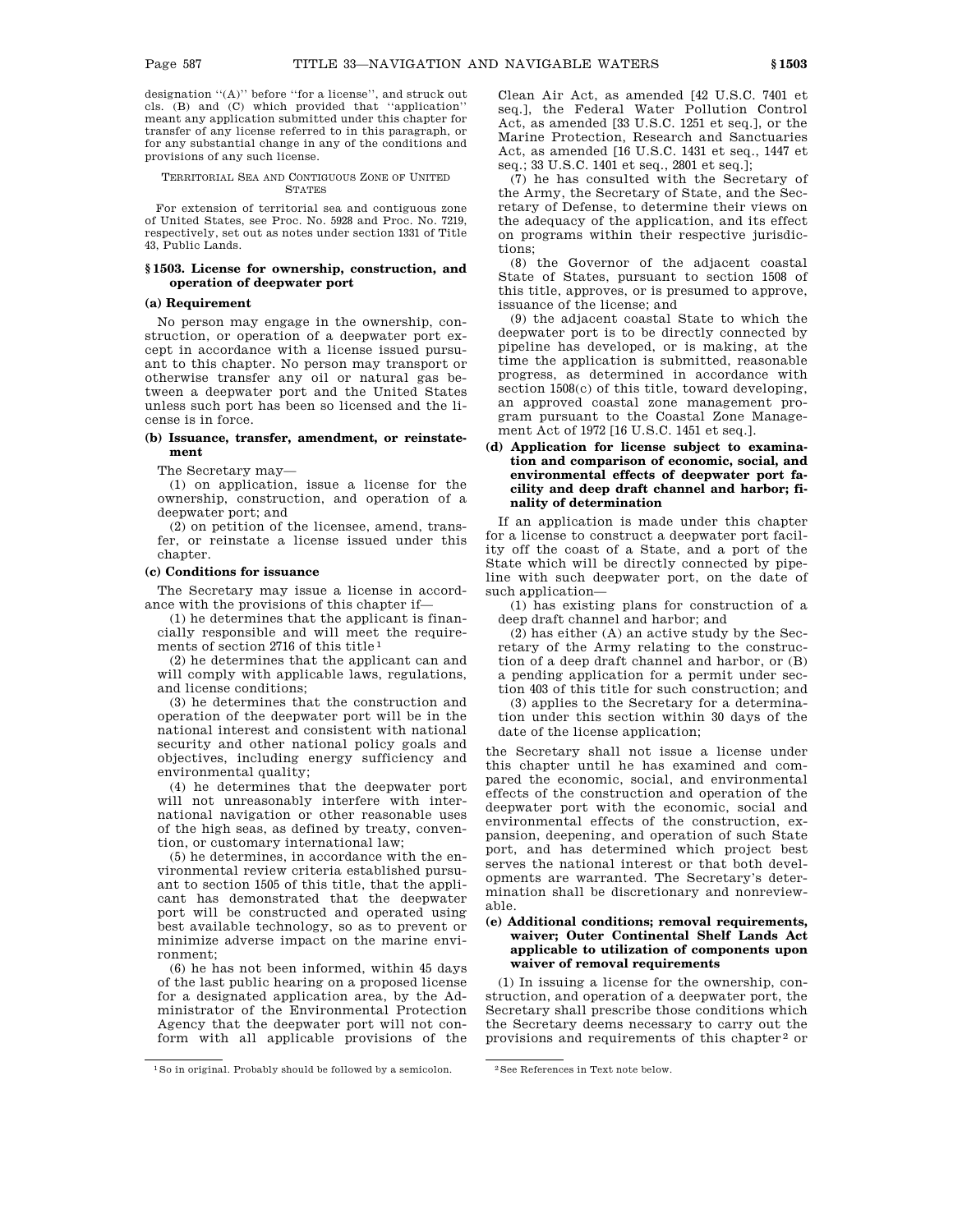designation "(A)" before "for a license", and struck out cls. (B) and (C) which provided that ''application'' meant any application submitted under this chapter for transfer of any license referred to in this paragraph, or for any substantial change in any of the conditions and provisions of any such license.

### TERRITORIAL SEA AND CONTIGUOUS ZONE OF UNITED STATES

For extension of territorial sea and contiguous zone of United States, see Proc. No. 5928 and Proc. No. 7219, respectively, set out as notes under section 1331 of Title 43, Public Lands.

### **§ 1503. License for ownership, construction, and operation of deepwater port**

### **(a) Requirement**

No person may engage in the ownership, construction, or operation of a deepwater port except in accordance with a license issued pursuant to this chapter. No person may transport or otherwise transfer any oil or natural gas between a deepwater port and the United States unless such port has been so licensed and the license is in force.

### **(b) Issuance, transfer, amendment, or reinstatement**

The Secretary may—

(1) on application, issue a license for the ownership, construction, and operation of a deepwater port; and

(2) on petition of the licensee, amend, transfer, or reinstate a license issued under this chapter.

## **(c) Conditions for issuance**

The Secretary may issue a license in accordance with the provisions of this chapter if—

(1) he determines that the applicant is financially responsible and will meet the requirements of section 2716 of this title 1

(2) he determines that the applicant can and will comply with applicable laws, regulations, and license conditions;

(3) he determines that the construction and operation of the deepwater port will be in the national interest and consistent with national security and other national policy goals and objectives, including energy sufficiency and environmental quality;

(4) he determines that the deepwater port will not unreasonably interfere with international navigation or other reasonable uses of the high seas, as defined by treaty, convention, or customary international law;

(5) he determines, in accordance with the environmental review criteria established pursuant to section 1505 of this title, that the applicant has demonstrated that the deepwater port will be constructed and operated using best available technology, so as to prevent or minimize adverse impact on the marine environment;

(6) he has not been informed, within 45 days of the last public hearing on a proposed license for a designated application area, by the Administrator of the Environmental Protection Agency that the deepwater port will not conform with all applicable provisions of the Clean Air Act, as amended [42 U.S.C. 7401 et seq.], the Federal Water Pollution Control Act, as amended [33 U.S.C. 1251 et seq.], or the Marine Protection, Research and Sanctuaries Act, as amended [16 U.S.C. 1431 et seq., 1447 et seq.; 33 U.S.C. 1401 et seq., 2801 et seq.];

(7) he has consulted with the Secretary of the Army, the Secretary of State, and the Secretary of Defense, to determine their views on the adequacy of the application, and its effect on programs within their respective jurisdictions;

(8) the Governor of the adjacent coastal State of States, pursuant to section 1508 of this title, approves, or is presumed to approve, issuance of the license; and

(9) the adjacent coastal State to which the deepwater port is to be directly connected by pipeline has developed, or is making, at the time the application is submitted, reasonable progress, as determined in accordance with section 1508(c) of this title, toward developing, an approved coastal zone management program pursuant to the Coastal Zone Management Act of 1972 [16 U.S.C. 1451 et seq.].

# **(d) Application for license subject to examination and comparison of economic, social, and environmental effects of deepwater port facility and deep draft channel and harbor; finality of determination**

If an application is made under this chapter for a license to construct a deepwater port facility off the coast of a State, and a port of the State which will be directly connected by pipeline with such deepwater port, on the date of such application—

(1) has existing plans for construction of a deep draft channel and harbor; and

(2) has either (A) an active study by the Secretary of the Army relating to the construction of a deep draft channel and harbor, or (B) a pending application for a permit under section 403 of this title for such construction; and

(3) applies to the Secretary for a determination under this section within 30 days of the date of the license application;

the Secretary shall not issue a license under this chapter until he has examined and compared the economic, social, and environmental effects of the construction and operation of the deepwater port with the economic, social and environmental effects of the construction, expansion, deepening, and operation of such State port, and has determined which project best serves the national interest or that both developments are warranted. The Secretary's determination shall be discretionary and nonreviewable.

### **(e) Additional conditions; removal requirements, waiver; Outer Continental Shelf Lands Act applicable to utilization of components upon waiver of removal requirements**

(1) In issuing a license for the ownership, construction, and operation of a deepwater port, the Secretary shall prescribe those conditions which the Secretary deems necessary to carry out the provisions and requirements of this chapter 2 or

<sup>&</sup>lt;sup>1</sup> So in original. Probably should be followed by a semicolon. <sup>2</sup> See References in Text note below.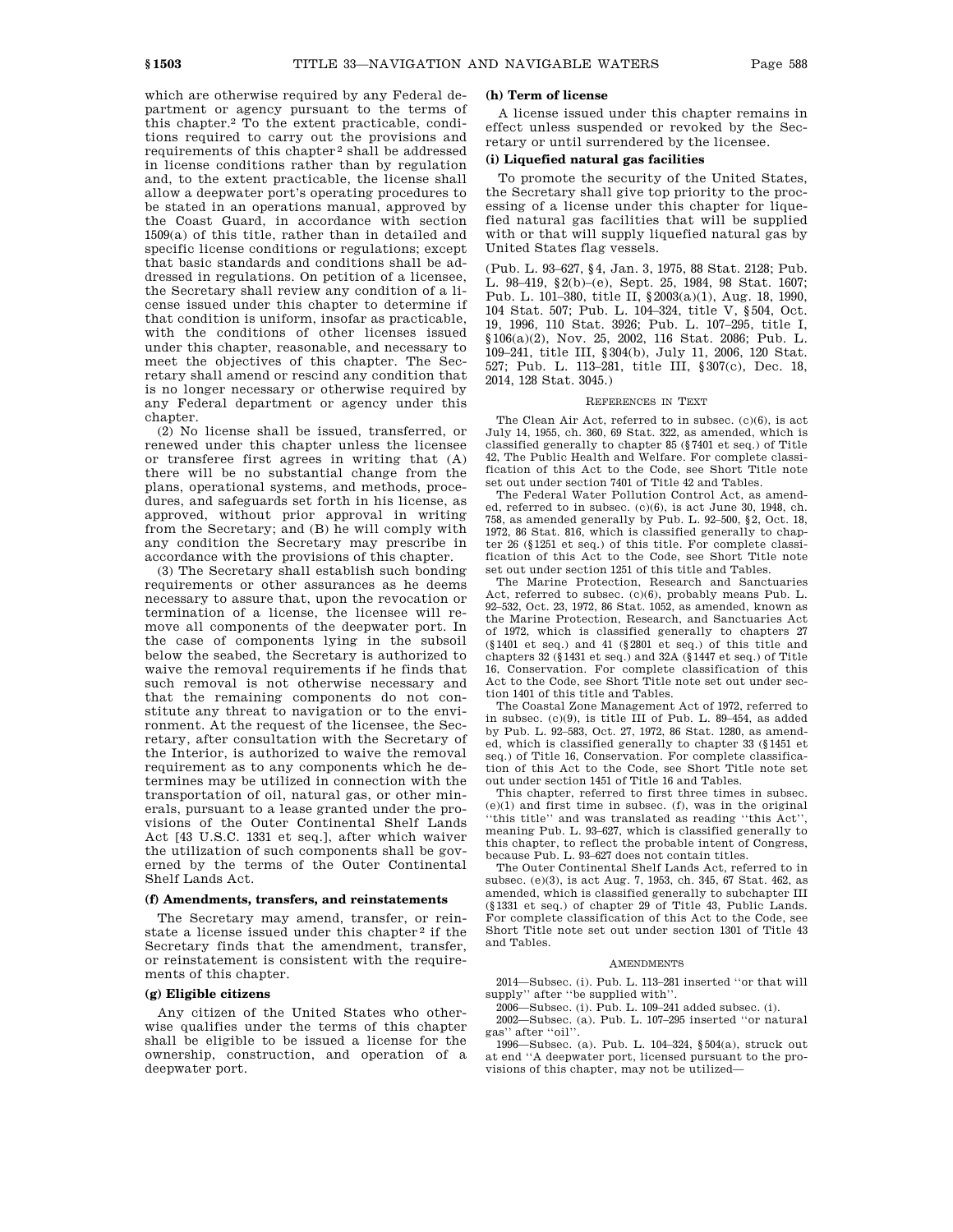which are otherwise required by any Federal department or agency pursuant to the terms of this chapter.2 To the extent practicable, conditions required to carry out the provisions and requirements of this chapter 2 shall be addressed in license conditions rather than by regulation and, to the extent practicable, the license shall allow a deepwater port's operating procedures to be stated in an operations manual, approved by the Coast Guard, in accordance with section 1509(a) of this title, rather than in detailed and specific license conditions or regulations; except that basic standards and conditions shall be addressed in regulations. On petition of a licensee, the Secretary shall review any condition of a license issued under this chapter to determine if that condition is uniform, insofar as practicable, with the conditions of other licenses issued under this chapter, reasonable, and necessary to meet the objectives of this chapter. The Secretary shall amend or rescind any condition that is no longer necessary or otherwise required by any Federal department or agency under this chapter

(2) No license shall be issued, transferred, or renewed under this chapter unless the licensee or transferee first agrees in writing that (A) there will be no substantial change from the plans, operational systems, and methods, procedures, and safeguards set forth in his license, as approved, without prior approval in writing from the Secretary; and (B) he will comply with any condition the Secretary may prescribe in accordance with the provisions of this chapter.

(3) The Secretary shall establish such bonding requirements or other assurances as he deems necessary to assure that, upon the revocation or termination of a license, the licensee will remove all components of the deepwater port. In the case of components lying in the subsoil below the seabed, the Secretary is authorized to waive the removal requirements if he finds that such removal is not otherwise necessary and that the remaining components do not constitute any threat to navigation or to the environment. At the request of the licensee, the Secretary, after consultation with the Secretary of the Interior, is authorized to waive the removal requirement as to any components which he determines may be utilized in connection with the transportation of oil, natural gas, or other minerals, pursuant to a lease granted under the provisions of the Outer Continental Shelf Lands Act [43 U.S.C. 1331 et seq.], after which waiver the utilization of such components shall be governed by the terms of the Outer Continental Shelf Lands Act.

# **(f) Amendments, transfers, and reinstatements**

The Secretary may amend, transfer, or reinstate a license issued under this chapter<sup>2</sup> if the Secretary finds that the amendment, transfer, or reinstatement is consistent with the requirements of this chapter.

### **(g) Eligible citizens**

Any citizen of the United States who otherwise qualifies under the terms of this chapter shall be eligible to be issued a license for the ownership, construction, and operation of a deepwater port.

# **(h) Term of license**

A license issued under this chapter remains in effect unless suspended or revoked by the Secretary or until surrendered by the licensee.

### **(i) Liquefied natural gas facilities**

To promote the security of the United States, the Secretary shall give top priority to the processing of a license under this chapter for liquefied natural gas facilities that will be supplied with or that will supply liquefied natural gas by United States flag vessels.

(Pub. L. 93–627, §4, Jan. 3, 1975, 88 Stat. 2128; Pub. L. 98–419, §2(b)–(e), Sept. 25, 1984, 98 Stat. 1607; Pub. L. 101–380, title II, §2003(a)(1), Aug. 18, 1990, 104 Stat. 507; Pub. L. 104–324, title V, §504, Oct. 19, 1996, 110 Stat. 3926; Pub. L. 107–295, title I, §106(a)(2), Nov. 25, 2002, 116 Stat. 2086; Pub. L. 109–241, title III, §304(b), July 11, 2006, 120 Stat. 527; Pub. L. 113–281, title III, §307(c), Dec. 18, 2014, 128 Stat. 3045.)

### REFERENCES IN TEXT

The Clean Air Act, referred to in subsec. (c)(6), is act July 14, 1955, ch. 360, 69 Stat. 322, as amended, which is classified generally to chapter 85 (§7401 et seq.) of Title 42, The Public Health and Welfare. For complete classification of this Act to the Code, see Short Title note set out under section 7401 of Title 42 and Tables.

The Federal Water Pollution Control Act, as amended, referred to in subsec. (c)(6), is act June 30, 1948, ch. 758, as amended generally by Pub. L. 92–500, §2, Oct. 18, 1972, 86 Stat. 816, which is classified generally to chapter 26 (§1251 et seq.) of this title. For complete classification of this Act to the Code, see Short Title note set out under section 1251 of this title and Tables.

The Marine Protection, Research and Sanctuaries Act, referred to subsec. (c)(6), probably means Pub. L. 92–532, Oct. 23, 1972, 86 Stat. 1052, as amended, known as the Marine Protection, Research, and Sanctuaries Act of 1972, which is classified generally to chapters 27 (§1401 et seq.) and 41 (§2801 et seq.) of this title and chapters 32 (§1431 et seq.) and 32A (§1447 et seq.) of Title 16, Conservation. For complete classification of this Act to the Code, see Short Title note set out under section 1401 of this title and Tables.

The Coastal Zone Management Act of 1972, referred to in subsec. (c)(9), is title III of Pub. L. 89–454, as added by Pub. L. 92–583, Oct. 27, 1972, 86 Stat. 1280, as amended, which is classified generally to chapter 33 (§1451 et seq.) of Title 16, Conservation. For complete classification of this Act to the Code, see Short Title note set out under section 1451 of Title 16 and Tables.

This chapter, referred to first three times in subsec.  $(e)(1)$  and first time in subsec. (f), was in the original ''this title'' and was translated as reading ''this Act'', meaning Pub. L. 93–627, which is classified generally to this chapter, to reflect the probable intent of Congress, because Pub. L. 93–627 does not contain titles.

The Outer Continental Shelf Lands Act, referred to in subsec. (e)(3), is act Aug. 7, 1953, ch. 345, 67 Stat. 462, as amended, which is classified generally to subchapter III (§1331 et seq.) of chapter 29 of Title 43, Public Lands. For complete classification of this Act to the Code, see Short Title note set out under section 1301 of Title 43 and Tables.

#### AMENDMENTS

2014—Subsec. (i). Pub. L. 113–281 inserted ''or that will supply'' after ''be supplied with''.

2006—Subsec. (i). Pub. L. 109–241 added subsec. (i).

2002—Subsec. (a). Pub. L. 107–295 inserted ''or natural gas'' after ''oil''.

1996—Subsec. (a). Pub. L. 104–324, §504(a), struck out at end ''A deepwater port, licensed pursuant to the provisions of this chapter, may not be utilized—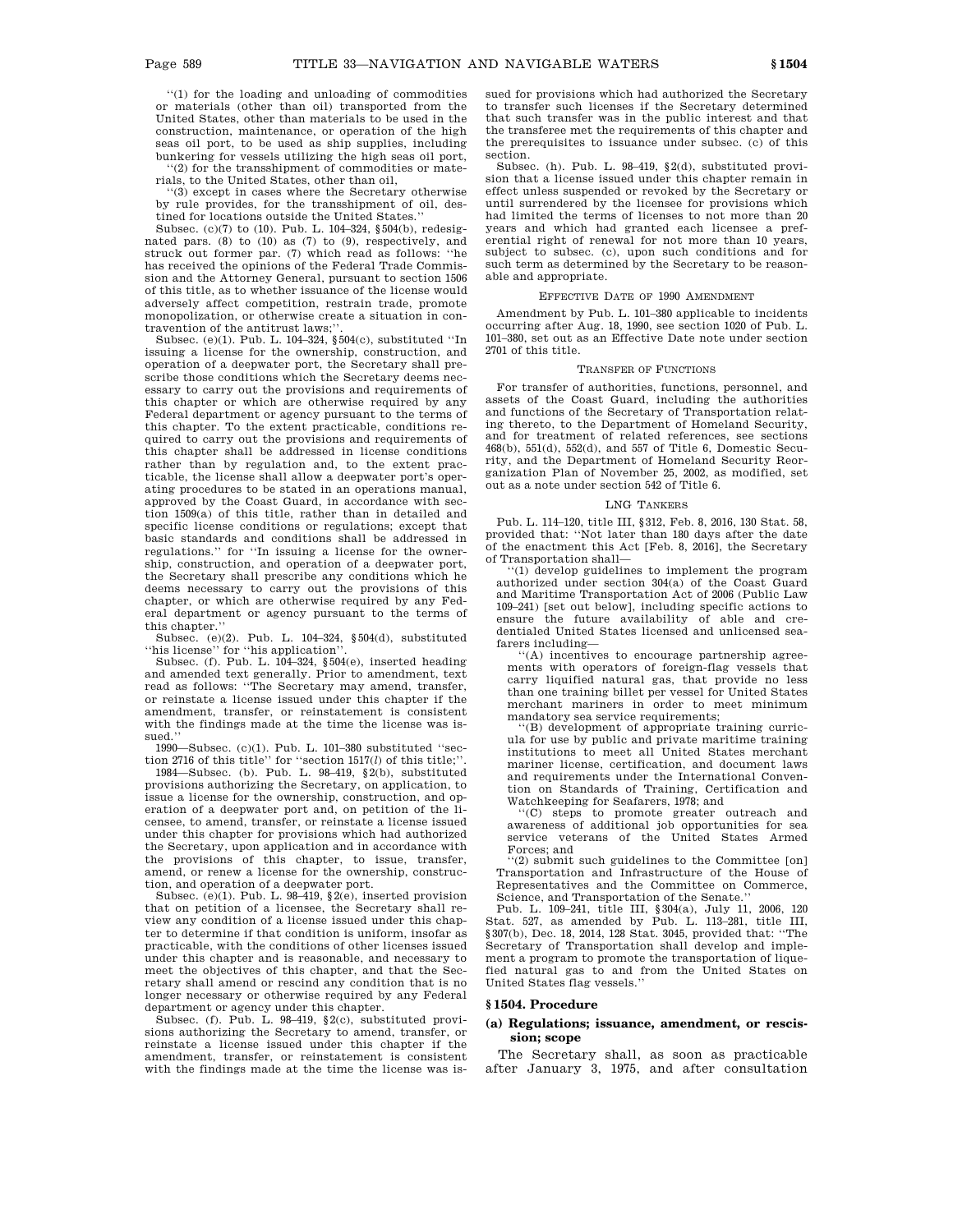''(1) for the loading and unloading of commodities or materials (other than oil) transported from the United States, other than materials to be used in the construction, maintenance, or operation of the high seas oil port, to be used as ship supplies, including bunkering for vessels utilizing the high seas oil port,

''(2) for the transshipment of commodities or materials, to the United States, other than oil,

''(3) except in cases where the Secretary otherwise by rule provides, for the transshipment of oil, destined for locations outside the United States.

Subsec. (c)(7) to (10). Pub. L. 104–324, §504(b), redesignated pars. (8) to (10) as (7) to (9), respectively, and struck out former par. (7) which read as follows: ''he has received the opinions of the Federal Trade Commission and the Attorney General, pursuant to section 1506 of this title, as to whether issuance of the license would adversely affect competition, restrain trade, promote monopolization, or otherwise create a situation in contravention of the antitrust laws;'

Subsec. (e)(1). Pub. L. 104–324, §504(c), substituted ''In issuing a license for the ownership, construction, and operation of a deepwater port, the Secretary shall prescribe those conditions which the Secretary deems necessary to carry out the provisions and requirements of this chapter or which are otherwise required by any Federal department or agency pursuant to the terms of this chapter. To the extent practicable, conditions required to carry out the provisions and requirements of this chapter shall be addressed in license conditions rather than by regulation and, to the extent practicable, the license shall allow a deepwater port's operating procedures to be stated in an operations manual, approved by the Coast Guard, in accordance with section 1509(a) of this title, rather than in detailed and specific license conditions or regulations; except that basic standards and conditions shall be addressed in regulations.'' for ''In issuing a license for the ownership, construction, and operation of a deepwater port, the Secretary shall prescribe any conditions which he deems necessary to carry out the provisions of this chapter, or which are otherwise required by any Federal department or agency pursuant to the terms of this chapter.''

Subsec. (e)(2). Pub. L. 104–324, §504(d), substituted ''his license'' for ''his application''.

Subsec. (f). Pub. L.  $104-324$ , §504(e), inserted heading and amended text generally. Prior to amendment, text read as follows: ''The Secretary may amend, transfer, or reinstate a license issued under this chapter if the amendment, transfer, or reinstatement is consistent with the findings made at the time the license was issued.''

1990—Subsec. (c)(1). Pub. L. 101–380 substituted ''sec-tion 2716 of this title'' for ''section 1517(*l*) of this title;''.

1984—Subsec. (b). Pub. L. 98–419, §2(b), substituted provisions authorizing the Secretary, on application, to issue a license for the ownership, construction, and operation of a deepwater port and, on petition of the licensee, to amend, transfer, or reinstate a license issued under this chapter for provisions which had authorized the Secretary, upon application and in accordance with the provisions of this chapter, to issue, transfer, amend, or renew a license for the ownership, construction, and operation of a deepwater port.

Subsec.  $(e)(1)$ . Pub. L. 98–419,  $\S(2e)$ , inserted provision that on petition of a licensee, the Secretary shall review any condition of a license issued under this chapter to determine if that condition is uniform, insofar as practicable, with the conditions of other licenses issued under this chapter and is reasonable, and necessary to meet the objectives of this chapter, and that the Secretary shall amend or rescind any condition that is no longer necessary or otherwise required by any Federal department or agency under this chapter.

Subsec. (f). Pub. L. 98–419, §2(c), substituted provisions authorizing the Secretary to amend, transfer, or reinstate a license issued under this chapter if the amendment, transfer, or reinstatement is consistent with the findings made at the time the license was issued for provisions which had authorized the Secretary to transfer such licenses if the Secretary determined that such transfer was in the public interest and that the transferee met the requirements of this chapter and the prerequisites to issuance under subsec. (c) of this section.

Subsec. (h). Pub. L. 98–419, §2(d), substituted provision that a license issued under this chapter remain in effect unless suspended or revoked by the Secretary or until surrendered by the licensee for provisions which had limited the terms of licenses to not more than 20 years and which had granted each licensee a preferential right of renewal for not more than 10 years, subject to subsec. (c), upon such conditions and for such term as determined by the Secretary to be reasonable and appropriate.

#### EFFECTIVE DATE OF 1990 AMENDMENT

Amendment by Pub. L. 101–380 applicable to incidents occurring after Aug. 18, 1990, see section 1020 of Pub. L. 101–380, set out as an Effective Date note under section 2701 of this title.

### TRANSFER OF FUNCTIONS

For transfer of authorities, functions, personnel, and assets of the Coast Guard, including the authorities and functions of the Secretary of Transportation relating thereto, to the Department of Homeland Security, and for treatment of related references, see sections 468(b), 551(d), 552(d), and 557 of Title 6, Domestic Security, and the Department of Homeland Security Reorganization Plan of November 25, 2002, as modified, set out as a note under section 542 of Title 6.

### LNG TANKERS

Pub. L. 114–120, title III, §312, Feb. 8, 2016, 130 Stat. 58, provided that: ''Not later than 180 days after the date of the enactment this Act [Feb. 8, 2016], the Secretary of Transportation shall—

''(1) develop guidelines to implement the program authorized under section 304(a) of the Coast Guard and Maritime Transportation Act of 2006 (Public Law 109–241) [set out below], including specific actions to ensure the future availability of able and credentialed United States licensed and unlicensed seafarers including—

''(A) incentives to encourage partnership agreements with operators of foreign-flag vessels that carry liquified natural gas, that provide no less than one training billet per vessel for United States merchant mariners in order to meet minimum mandatory sea service requirements;<br>"(B) development of appropriate training curric-

ula for use by public and private maritime training institutions to meet all United States merchant mariner license, certification, and document laws and requirements under the International Convention on Standards of Training, Certification and Watchkeeping for Seafarers, 1978; and

''(C) steps to promote greater outreach and awareness of additional job opportunities for sea service veterans of the United States Armed Forces; and

''(2) submit such guidelines to the Committee [on] Transportation and Infrastructure of the House of Representatives and the Committee on Commerce,

Science, and Transportation of the Senate.'' Pub. L. 109–241, title III, §304(a), July 11, 2006, 120 Stat. 527, as amended by Pub. L. 113–281, title III, §307(b), Dec. 18, 2014, 128 Stat. 3045, provided that: ''The Secretary of Transportation shall develop and implement a program to promote the transportation of liquefied natural gas to and from the United States on United States flag vessels.''

#### **§ 1504. Procedure**

### **(a) Regulations; issuance, amendment, or rescission; scope**

The Secretary shall, as soon as practicable after January 3, 1975, and after consultation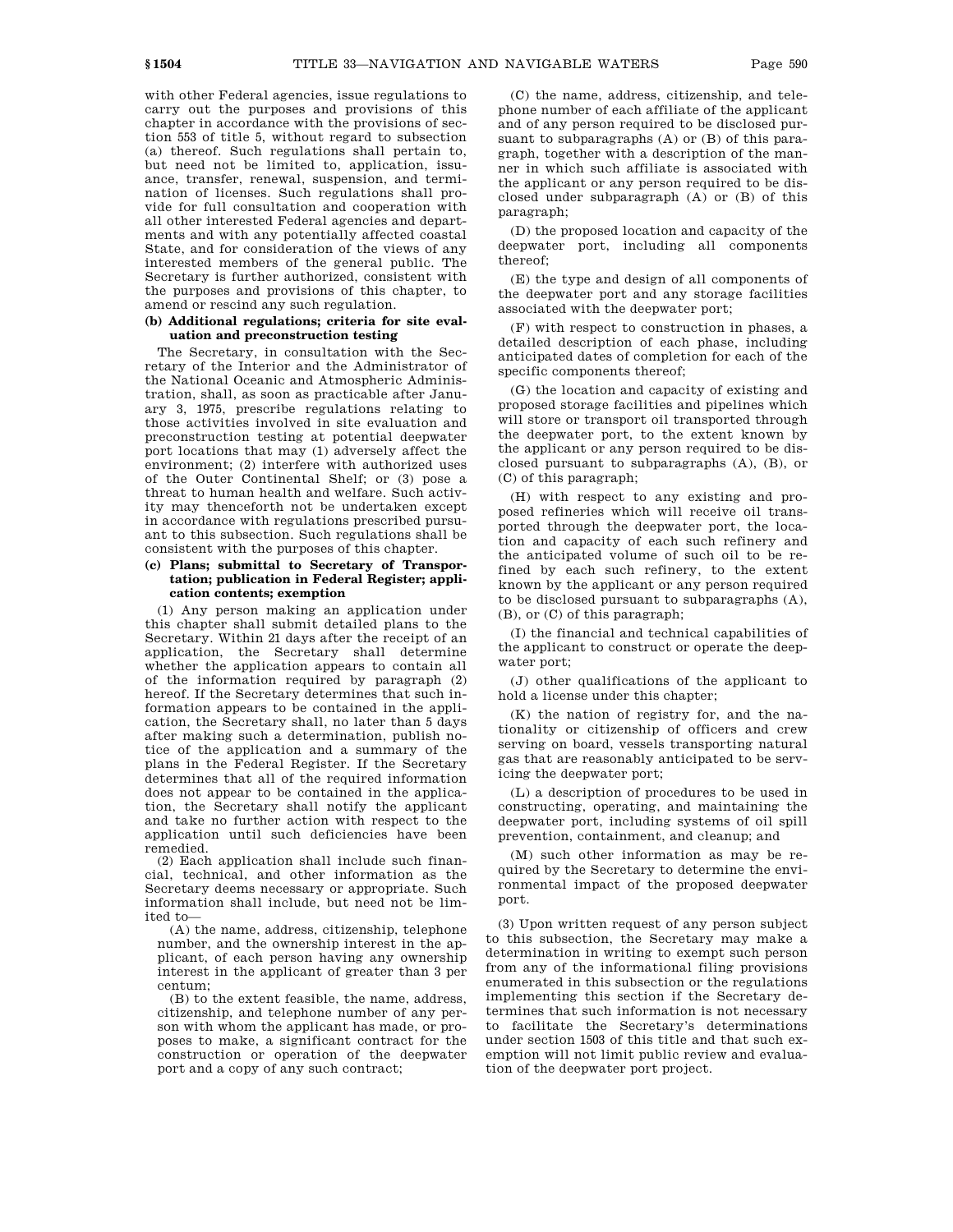with other Federal agencies, issue regulations to carry out the purposes and provisions of this chapter in accordance with the provisions of section 553 of title 5, without regard to subsection (a) thereof. Such regulations shall pertain to, but need not be limited to, application, issuance, transfer, renewal, suspension, and termination of licenses. Such regulations shall provide for full consultation and cooperation with all other interested Federal agencies and departments and with any potentially affected coastal State, and for consideration of the views of any interested members of the general public. The Secretary is further authorized, consistent with the purposes and provisions of this chapter, to amend or rescind any such regulation.

# **(b) Additional regulations; criteria for site evaluation and preconstruction testing**

The Secretary, in consultation with the Secretary of the Interior and the Administrator of the National Oceanic and Atmospheric Administration, shall, as soon as practicable after January 3, 1975, prescribe regulations relating to those activities involved in site evaluation and preconstruction testing at potential deepwater port locations that may (1) adversely affect the environment; (2) interfere with authorized uses of the Outer Continental Shelf; or (3) pose a threat to human health and welfare. Such activity may thenceforth not be undertaken except in accordance with regulations prescribed pursuant to this subsection. Such regulations shall be consistent with the purposes of this chapter.

## **(c) Plans; submittal to Secretary of Transportation; publication in Federal Register; application contents; exemption**

(1) Any person making an application under this chapter shall submit detailed plans to the Secretary. Within 21 days after the receipt of an application, the Secretary shall determine whether the application appears to contain all of the information required by paragraph (2) hereof. If the Secretary determines that such information appears to be contained in the application, the Secretary shall, no later than 5 days after making such a determination, publish notice of the application and a summary of the plans in the Federal Register. If the Secretary determines that all of the required information does not appear to be contained in the application, the Secretary shall notify the applicant and take no further action with respect to the application until such deficiencies have been remedied.

(2) Each application shall include such financial, technical, and other information as the Secretary deems necessary or appropriate. Such information shall include, but need not be limited to—

(A) the name, address, citizenship, telephone number, and the ownership interest in the applicant, of each person having any ownership interest in the applicant of greater than 3 per centum;

(B) to the extent feasible, the name, address, citizenship, and telephone number of any person with whom the applicant has made, or proposes to make, a significant contract for the construction or operation of the deepwater port and a copy of any such contract;

(C) the name, address, citizenship, and telephone number of each affiliate of the applicant and of any person required to be disclosed pursuant to subparagraphs (A) or (B) of this paragraph, together with a description of the manner in which such affiliate is associated with the applicant or any person required to be disclosed under subparagraph (A) or (B) of this paragraph;

(D) the proposed location and capacity of the deepwater port, including all components thereof;

(E) the type and design of all components of the deepwater port and any storage facilities associated with the deepwater port;

(F) with respect to construction in phases, a detailed description of each phase, including anticipated dates of completion for each of the specific components thereof;

(G) the location and capacity of existing and proposed storage facilities and pipelines which will store or transport oil transported through the deepwater port, to the extent known by the applicant or any person required to be disclosed pursuant to subparagraphs (A), (B), or (C) of this paragraph;

(H) with respect to any existing and proposed refineries which will receive oil transported through the deepwater port, the location and capacity of each such refinery and the anticipated volume of such oil to be refined by each such refinery, to the extent known by the applicant or any person required to be disclosed pursuant to subparagraphs (A), (B), or (C) of this paragraph;

(I) the financial and technical capabilities of the applicant to construct or operate the deepwater port;

(J) other qualifications of the applicant to hold a license under this chapter;

(K) the nation of registry for, and the nationality or citizenship of officers and crew serving on board, vessels transporting natural gas that are reasonably anticipated to be servicing the deepwater port;

(L) a description of procedures to be used in constructing, operating, and maintaining the deepwater port, including systems of oil spill prevention, containment, and cleanup; and

(M) such other information as may be required by the Secretary to determine the environmental impact of the proposed deepwater port.

(3) Upon written request of any person subject to this subsection, the Secretary may make a determination in writing to exempt such person from any of the informational filing provisions enumerated in this subsection or the regulations implementing this section if the Secretary determines that such information is not necessary to facilitate the Secretary's determinations under section 1503 of this title and that such exemption will not limit public review and evaluation of the deepwater port project.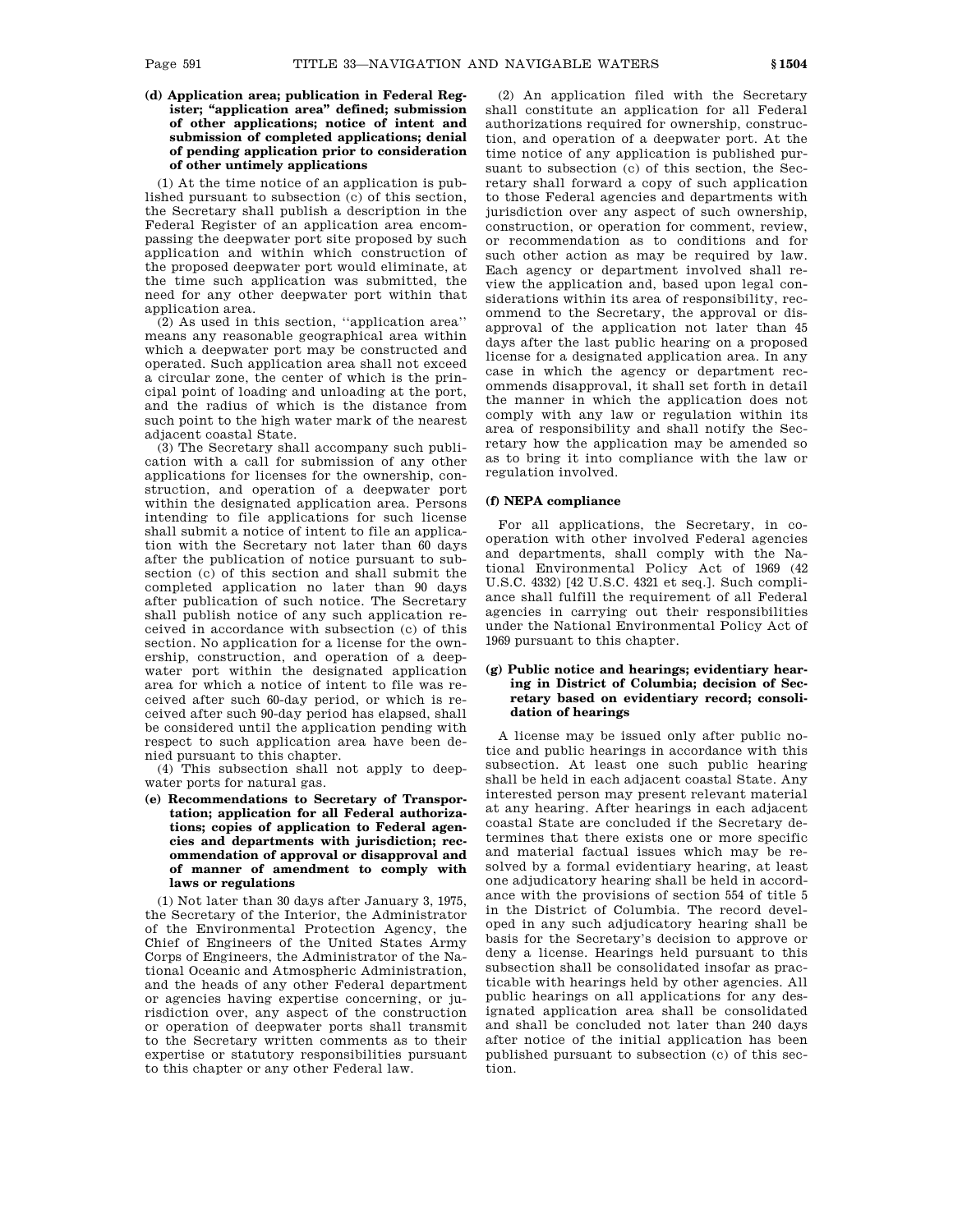**(d) Application area; publication in Federal Register; ''application area'' defined; submission of other applications; notice of intent and submission of completed applications; denial of pending application prior to consideration of other untimely applications**

(1) At the time notice of an application is published pursuant to subsection (c) of this section, the Secretary shall publish a description in the Federal Register of an application area encompassing the deepwater port site proposed by such application and within which construction of the proposed deepwater port would eliminate, at the time such application was submitted, the need for any other deepwater port within that application area.

(2) As used in this section, ''application area'' means any reasonable geographical area within which a deepwater port may be constructed and operated. Such application area shall not exceed a circular zone, the center of which is the principal point of loading and unloading at the port, and the radius of which is the distance from such point to the high water mark of the nearest adjacent coastal State.

(3) The Secretary shall accompany such publication with a call for submission of any other applications for licenses for the ownership, construction, and operation of a deepwater port within the designated application area. Persons intending to file applications for such license shall submit a notice of intent to file an application with the Secretary not later than 60 days after the publication of notice pursuant to subsection (c) of this section and shall submit the completed application no later than 90 days after publication of such notice. The Secretary shall publish notice of any such application received in accordance with subsection (c) of this section. No application for a license for the ownership, construction, and operation of a deepwater port within the designated application area for which a notice of intent to file was received after such 60-day period, or which is received after such 90-day period has elapsed, shall be considered until the application pending with respect to such application area have been denied pursuant to this chapter.

(4) This subsection shall not apply to deepwater ports for natural gas.

**(e) Recommendations to Secretary of Transportation; application for all Federal authorizations; copies of application to Federal agencies and departments with jurisdiction; recommendation of approval or disapproval and of manner of amendment to comply with laws or regulations**

(1) Not later than 30 days after January 3, 1975, the Secretary of the Interior, the Administrator of the Environmental Protection Agency, the Chief of Engineers of the United States Army Corps of Engineers, the Administrator of the National Oceanic and Atmospheric Administration, and the heads of any other Federal department or agencies having expertise concerning, or jurisdiction over, any aspect of the construction or operation of deepwater ports shall transmit to the Secretary written comments as to their expertise or statutory responsibilities pursuant to this chapter or any other Federal law.

(2) An application filed with the Secretary shall constitute an application for all Federal authorizations required for ownership, construction, and operation of a deepwater port. At the time notice of any application is published pursuant to subsection (c) of this section, the Secretary shall forward a copy of such application to those Federal agencies and departments with jurisdiction over any aspect of such ownership, construction, or operation for comment, review, or recommendation as to conditions and for such other action as may be required by law. Each agency or department involved shall review the application and, based upon legal considerations within its area of responsibility, recommend to the Secretary, the approval or disapproval of the application not later than 45 days after the last public hearing on a proposed license for a designated application area. In any case in which the agency or department recommends disapproval, it shall set forth in detail the manner in which the application does not comply with any law or regulation within its area of responsibility and shall notify the Secretary how the application may be amended so as to bring it into compliance with the law or regulation involved.

### **(f) NEPA compliance**

For all applications, the Secretary, in cooperation with other involved Federal agencies and departments, shall comply with the National Environmental Policy Act of 1969 (42 U.S.C. 4332) [42 U.S.C. 4321 et seq.]. Such compliance shall fulfill the requirement of all Federal agencies in carrying out their responsibilities under the National Environmental Policy Act of 1969 pursuant to this chapter.

# **(g) Public notice and hearings; evidentiary hearing in District of Columbia; decision of Secretary based on evidentiary record; consolidation of hearings**

A license may be issued only after public notice and public hearings in accordance with this subsection. At least one such public hearing shall be held in each adjacent coastal State. Any interested person may present relevant material at any hearing. After hearings in each adjacent coastal State are concluded if the Secretary determines that there exists one or more specific and material factual issues which may be resolved by a formal evidentiary hearing, at least one adjudicatory hearing shall be held in accordance with the provisions of section 554 of title 5 in the District of Columbia. The record developed in any such adjudicatory hearing shall be basis for the Secretary's decision to approve or deny a license. Hearings held pursuant to this subsection shall be consolidated insofar as practicable with hearings held by other agencies. All public hearings on all applications for any designated application area shall be consolidated and shall be concluded not later than 240 days after notice of the initial application has been published pursuant to subsection (c) of this section.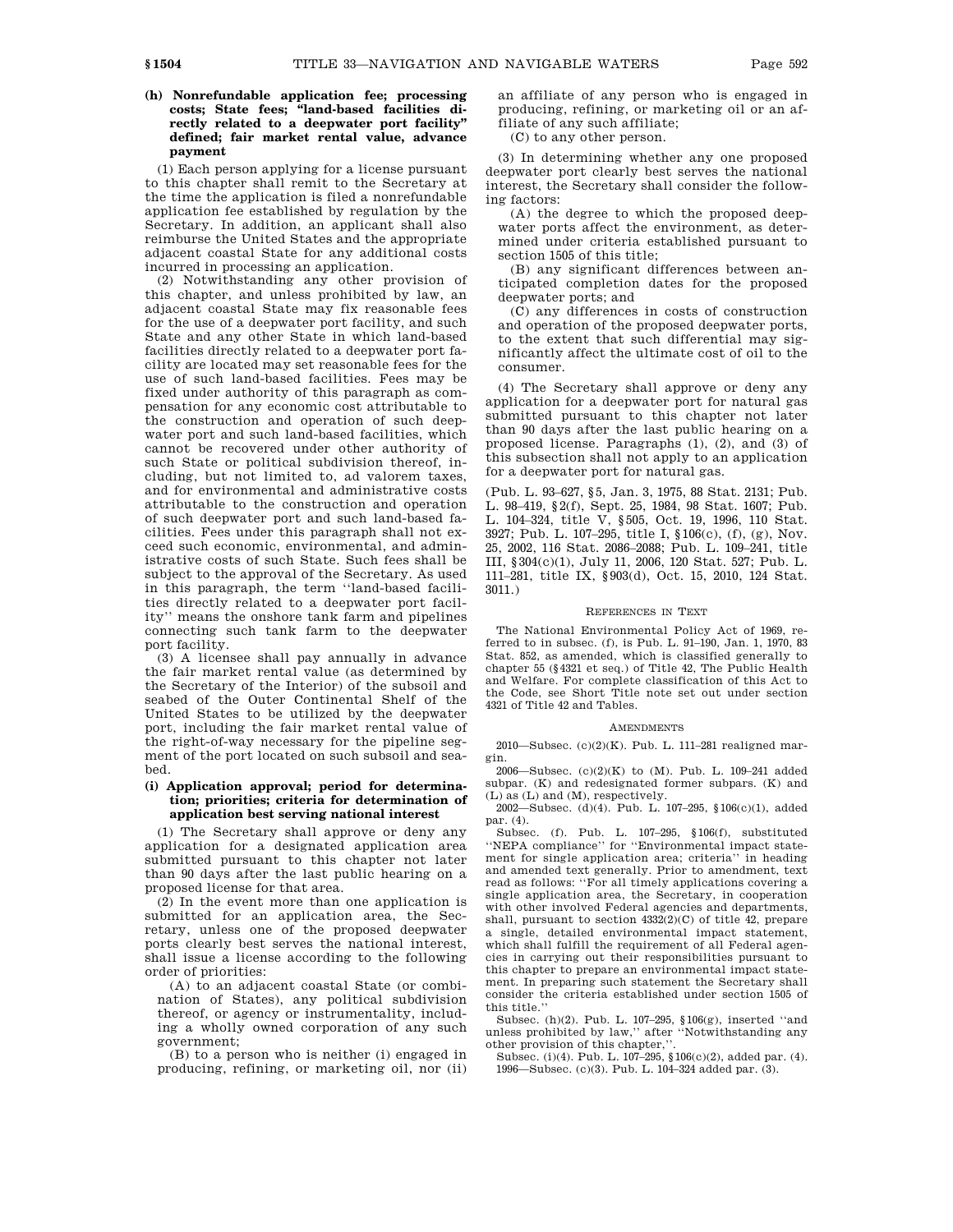# **(h) Nonrefundable application fee; processing costs; State fees; ''land-based facilities directly related to a deepwater port facility'' defined; fair market rental value, advance payment**

(1) Each person applying for a license pursuant to this chapter shall remit to the Secretary at the time the application is filed a nonrefundable application fee established by regulation by the Secretary. In addition, an applicant shall also reimburse the United States and the appropriate adjacent coastal State for any additional costs incurred in processing an application.

(2) Notwithstanding any other provision of this chapter, and unless prohibited by law, an adjacent coastal State may fix reasonable fees for the use of a deepwater port facility, and such State and any other State in which land-based facilities directly related to a deepwater port facility are located may set reasonable fees for the use of such land-based facilities. Fees may be fixed under authority of this paragraph as compensation for any economic cost attributable to the construction and operation of such deepwater port and such land-based facilities, which cannot be recovered under other authority of such State or political subdivision thereof, including, but not limited to, ad valorem taxes, and for environmental and administrative costs attributable to the construction and operation of such deepwater port and such land-based facilities. Fees under this paragraph shall not exceed such economic, environmental, and administrative costs of such State. Such fees shall be subject to the approval of the Secretary. As used in this paragraph, the term ''land-based facilities directly related to a deepwater port facility'' means the onshore tank farm and pipelines connecting such tank farm to the deepwater port facility.

(3) A licensee shall pay annually in advance the fair market rental value (as determined by the Secretary of the Interior) of the subsoil and seabed of the Outer Continental Shelf of the United States to be utilized by the deepwater port, including the fair market rental value of the right-of-way necessary for the pipeline segment of the port located on such subsoil and seabed.

### **(i) Application approval; period for determination; priorities; criteria for determination of application best serving national interest**

(1) The Secretary shall approve or deny any application for a designated application area submitted pursuant to this chapter not later than 90 days after the last public hearing on a proposed license for that area.

(2) In the event more than one application is submitted for an application area, the Secretary, unless one of the proposed deepwater ports clearly best serves the national interest, shall issue a license according to the following order of priorities:

(A) to an adjacent coastal State (or combination of States), any political subdivision thereof, or agency or instrumentality, including a wholly owned corporation of any such government;

(B) to a person who is neither (i) engaged in producing, refining, or marketing oil, nor (ii) an affiliate of any person who is engaged in producing, refining, or marketing oil or an affiliate of any such affiliate;

(C) to any other person.

(3) In determining whether any one proposed deepwater port clearly best serves the national interest, the Secretary shall consider the following factors:

(A) the degree to which the proposed deepwater ports affect the environment, as determined under criteria established pursuant to section 1505 of this title;

(B) any significant differences between anticipated completion dates for the proposed deepwater ports; and

(C) any differences in costs of construction and operation of the proposed deepwater ports, to the extent that such differential may significantly affect the ultimate cost of oil to the consumer.

(4) The Secretary shall approve or deny any application for a deepwater port for natural gas submitted pursuant to this chapter not later than 90 days after the last public hearing on a proposed license. Paragraphs (1), (2), and (3) of this subsection shall not apply to an application for a deepwater port for natural gas.

(Pub. L. 93–627, §5, Jan. 3, 1975, 88 Stat. 2131; Pub. L. 98–419, §2(f), Sept. 25, 1984, 98 Stat. 1607; Pub. L. 104–324, title V, §505, Oct. 19, 1996, 110 Stat. 3927; Pub. L. 107–295, title I, §106(c), (f), (g), Nov. 25, 2002, 116 Stat. 2086–2088; Pub. L. 109–241, title III, §304(c)(1), July 11, 2006, 120 Stat. 527; Pub. L. 111–281, title IX, §903(d), Oct. 15, 2010, 124 Stat. 3011.)

### REFERENCES IN TEXT

The National Environmental Policy Act of 1969, referred to in subsec. (f), is Pub. L. 91–190, Jan. 1, 1970, 83 Stat. 852, as amended, which is classified generally to chapter 55 (§4321 et seq.) of Title 42, The Public Health and Welfare. For complete classification of this Act to the Code, see Short Title note set out under section 4321 of Title 42 and Tables.

#### **AMENDMENTS**

2010—Subsec. (c)(2)(K). Pub. L. 111–281 realigned margin.

2006—Subsec. (c)(2)(K) to (M). Pub. L. 109–241 added subpar. (K) and redesignated former subpars. (K) and (L) as (L) and (M), respectively.

2002—Subsec. (d)(4). Pub. L. 107–295, §106(c)(1), added par. (4).

Subsec. (f). Pub. L. 107–295, §106(f), substituted ''NEPA compliance'' for ''Environmental impact statement for single application area; criteria'' in heading and amended text generally. Prior to amendment, text read as follows: ''For all timely applications covering a single application area, the Secretary, in cooperation with other involved Federal agencies and departments, shall, pursuant to section 4332(2)(C) of title 42, prepare a single, detailed environmental impact statement, which shall fulfill the requirement of all Federal agencies in carrying out their responsibilities pursuant to this chapter to prepare an environmental impact statement. In preparing such statement the Secretary shall consider the criteria established under section 1505 of this title.''

Subsec. (h)(2). Pub. L. 107–295, §106(g), inserted ''and unless prohibited by law,'' after ''Notwithstanding any other provision of this chapter,'

Subsec. (i)(4). Pub. L. 107–295, §106(c)(2), added par. (4). 1996—Subsec. (c)(3). Pub. L. 104–324 added par. (3).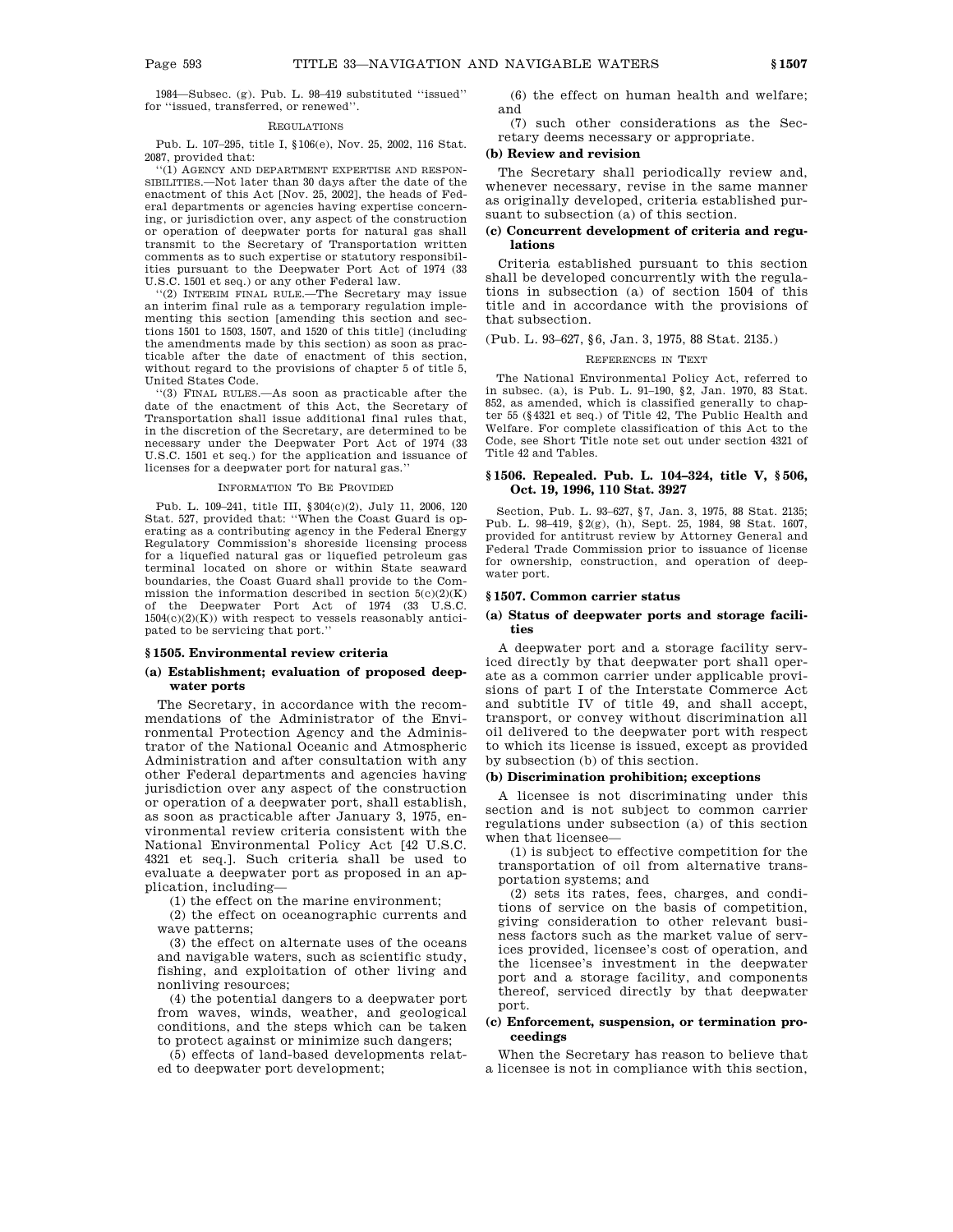1984—Subsec. (g). Pub. L. 98–419 substituted ''issued'' for ''issued, transferred, or renewed''.

## REGULATIONS

Pub. L. 107–295, title I, §106(e), Nov. 25, 2002, 116 Stat. 2087, provided that:

''(1) AGENCY AND DEPARTMENT EXPERTISE AND RESPON-SIBILITIES.—Not later than 30 days after the date of the enactment of this Act [Nov. 25, 2002], the heads of Federal departments or agencies having expertise concerning, or jurisdiction over, any aspect of the construction or operation of deepwater ports for natural gas shall transmit to the Secretary of Transportation written comments as to such expertise or statutory responsibilities pursuant to the Deepwater Port Act of 1974 (33 U.S.C. 1501 et seq.) or any other Federal law.

''(2) INTERIM FINAL RULE.—The Secretary may issue an interim final rule as a temporary regulation implementing this section [amending this section and sections 1501 to 1503, 1507, and 1520 of this title] (including the amendments made by this section) as soon as practicable after the date of enactment of this section, without regard to the provisions of chapter 5 of title 5, United States Code.

''(3) FINAL RULES.—As soon as practicable after the date of the enactment of this Act, the Secretary of Transportation shall issue additional final rules that, in the discretion of the Secretary, are determined to be necessary under the Deepwater Port Act of 1974 (33 U.S.C. 1501 et seq.) for the application and issuance of licenses for a deepwater port for natural gas.''

### INFORMATION TO BE PROVIDED

Pub. L. 109–241, title III, §304(c)(2), July 11, 2006, 120 Stat. 527, provided that: ''When the Coast Guard is operating as a contributing agency in the Federal Energy Regulatory Commission's shoreside licensing process for a liquefied natural gas or liquefied petroleum gas terminal located on shore or within State seaward boundaries, the Coast Guard shall provide to the Commission the information described in section  $5(c)(2)(K)$ the Deepwater Port Act of 1974 (33 U.S.C.  $1504(c)(2)(K)$  with respect to vessels reasonably anticipated to be servicing that port.''

#### **§ 1505. Environmental review criteria**

### **(a) Establishment; evaluation of proposed deepwater ports**

The Secretary, in accordance with the recommendations of the Administrator of the Environmental Protection Agency and the Administrator of the National Oceanic and Atmospheric Administration and after consultation with any other Federal departments and agencies having jurisdiction over any aspect of the construction or operation of a deepwater port, shall establish, as soon as practicable after January 3, 1975, environmental review criteria consistent with the National Environmental Policy Act [42 U.S.C. 4321 et seq.]. Such criteria shall be used to evaluate a deepwater port as proposed in an application, including—

(1) the effect on the marine environment;

(2) the effect on oceanographic currents and wave patterns;

(3) the effect on alternate uses of the oceans and navigable waters, such as scientific study, fishing, and exploitation of other living and nonliving resources;

(4) the potential dangers to a deepwater port from waves, winds, weather, and geological conditions, and the steps which can be taken to protect against or minimize such dangers;

(5) effects of land-based developments related to deepwater port development;

(6) the effect on human health and welfare; and

(7) such other considerations as the Secretary deems necessary or appropriate.

# **(b) Review and revision**

The Secretary shall periodically review and, whenever necessary, revise in the same manner as originally developed, criteria established pursuant to subsection (a) of this section.

### **(c) Concurrent development of criteria and regulations**

Criteria established pursuant to this section shall be developed concurrently with the regulations in subsection (a) of section 1504 of this title and in accordance with the provisions of that subsection.

## (Pub. L. 93–627, §6, Jan. 3, 1975, 88 Stat. 2135.)

### REFERENCES IN TEXT

The National Environmental Policy Act, referred to in subsec. (a), is Pub. L. 91–190, §2, Jan. 1970, 83 Stat. 852, as amended, which is classified generally to chapter 55 (§4321 et seq.) of Title 42, The Public Health and Welfare. For complete classification of this Act to the Code, see Short Title note set out under section 4321 of Title 42 and Tables.

### **§ 1506. Repealed. Pub. L. 104–324, title V, § 506, Oct. 19, 1996, 110 Stat. 3927**

Section, Pub. L. 93–627, §7, Jan. 3, 1975, 88 Stat. 2135; Pub. L. 98–419, §2(g), (h), Sept. 25, 1984, 98 Stat. 1607, provided for antitrust review by Attorney General and Federal Trade Commission prior to issuance of license for ownership, construction, and operation of deepwater port.

### **§ 1507. Common carrier status**

### **(a) Status of deepwater ports and storage facilities**

A deepwater port and a storage facility serviced directly by that deepwater port shall operate as a common carrier under applicable provisions of part I of the Interstate Commerce Act and subtitle IV of title 49, and shall accept, transport, or convey without discrimination all oil delivered to the deepwater port with respect to which its license is issued, except as provided by subsection (b) of this section.

## **(b) Discrimination prohibition; exceptions**

A licensee is not discriminating under this section and is not subject to common carrier regulations under subsection (a) of this section when that licensee—

(1) is subject to effective competition for the transportation of oil from alternative transportation systems; and

(2) sets its rates, fees, charges, and conditions of service on the basis of competition, giving consideration to other relevant business factors such as the market value of services provided, licensee's cost of operation, and the licensee's investment in the deepwater port and a storage facility, and components thereof, serviced directly by that deepwater port.

### **(c) Enforcement, suspension, or termination proceedings**

When the Secretary has reason to believe that a licensee is not in compliance with this section,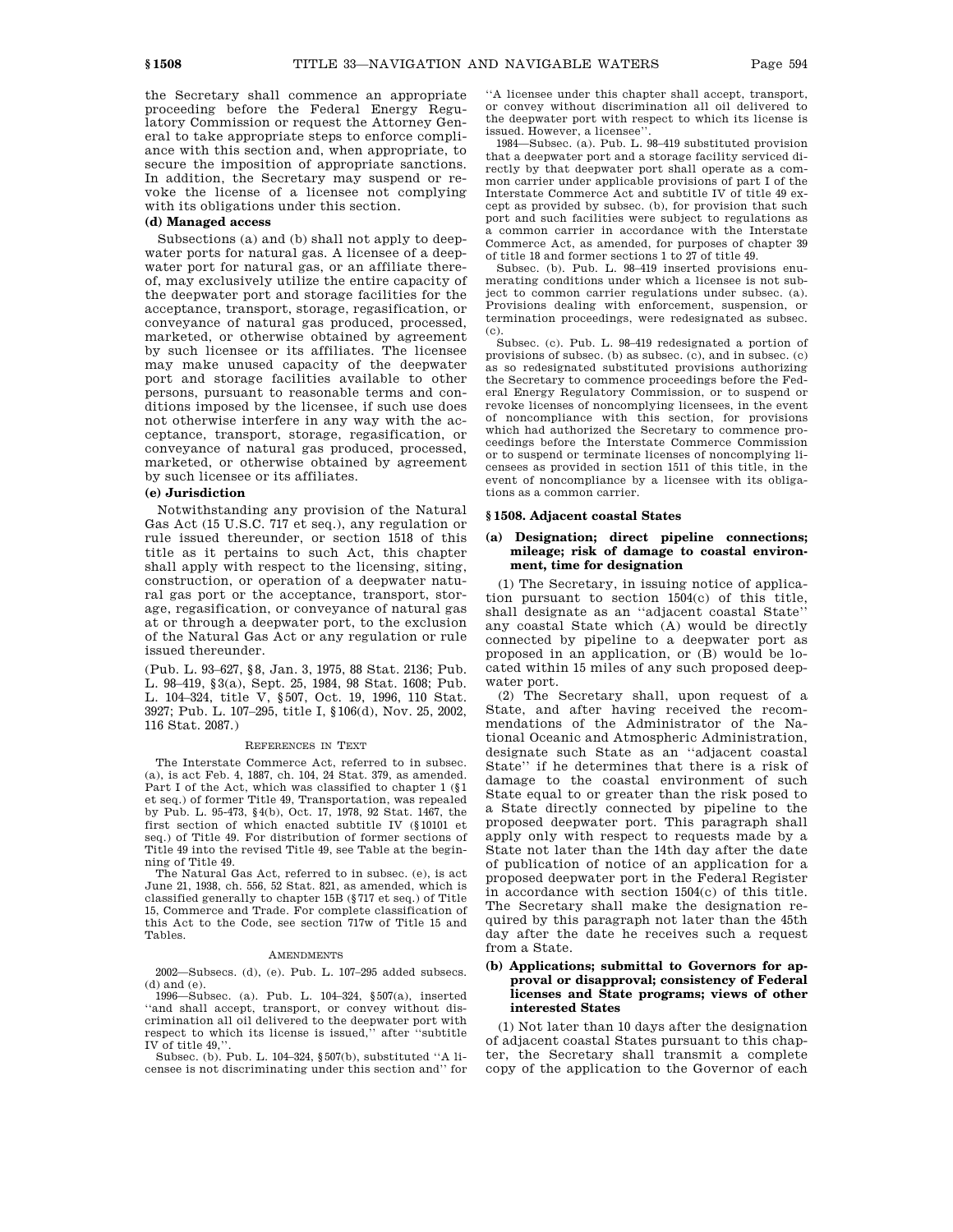the Secretary shall commence an appropriate proceeding before the Federal Energy Regulatory Commission or request the Attorney General to take appropriate steps to enforce compliance with this section and, when appropriate, to secure the imposition of appropriate sanctions. In addition, the Secretary may suspend or revoke the license of a licensee not complying with its obligations under this section.

# **(d) Managed access**

Subsections (a) and (b) shall not apply to deepwater ports for natural gas. A licensee of a deepwater port for natural gas, or an affiliate thereof, may exclusively utilize the entire capacity of the deepwater port and storage facilities for the acceptance, transport, storage, regasification, or conveyance of natural gas produced, processed, marketed, or otherwise obtained by agreement by such licensee or its affiliates. The licensee may make unused capacity of the deepwater port and storage facilities available to other persons, pursuant to reasonable terms and conditions imposed by the licensee, if such use does not otherwise interfere in any way with the acceptance, transport, storage, regasification, or conveyance of natural gas produced, processed, marketed, or otherwise obtained by agreement by such licensee or its affiliates.

## **(e) Jurisdiction**

Notwithstanding any provision of the Natural Gas Act (15 U.S.C. 717 et seq.), any regulation or rule issued thereunder, or section 1518 of this title as it pertains to such Act, this chapter shall apply with respect to the licensing, siting, construction, or operation of a deepwater natural gas port or the acceptance, transport, storage, regasification, or conveyance of natural gas at or through a deepwater port, to the exclusion of the Natural Gas Act or any regulation or rule issued thereunder.

(Pub. L. 93–627, §8, Jan. 3, 1975, 88 Stat. 2136; Pub. L. 98–419, §3(a), Sept. 25, 1984, 98 Stat. 1608; Pub. L. 104–324, title V, §507, Oct. 19, 1996, 110 Stat. 3927; Pub. L. 107–295, title I, §106(d), Nov. 25, 2002, 116 Stat. 2087.)

#### REFERENCES IN TEXT

The Interstate Commerce Act, referred to in subsec. (a), is act Feb. 4, 1887, ch. 104, 24 Stat. 379, as amended. Part I of the Act, which was classified to chapter 1 (§1 et seq.) of former Title 49, Transportation, was repealed by Pub. L. 95-473, §4(b), Oct. 17, 1978, 92 Stat. 1467, the first section of which enacted subtitle IV (§10101 et seq.) of Title 49. For distribution of former sections of Title 49 into the revised Title 49, see Table at the beginning of Title 49.

The Natural Gas Act, referred to in subsec. (e), is act June 21, 1938, ch. 556, 52 Stat. 821, as amended, which is classified generally to chapter 15B (§717 et seq.) of Title 15, Commerce and Trade. For complete classification of this Act to the Code, see section 717w of Title 15 and Tables.

#### AMENDMENTS

2002—Subsecs. (d), (e). Pub. L. 107–295 added subsecs. (d) and (e).

1996—Subsec. (a). Pub. L. 104–324, §507(a), inserted ''and shall accept, transport, or convey without discrimination all oil delivered to the deepwater port with respect to which its license is issued,'' after ''subtitle

IV of title 49,''. Subsec. (b). Pub. L. 104–324, §507(b), substituted ''A licensee is not discriminating under this section and'' for ''A licensee under this chapter shall accept, transport, or convey without discrimination all oil delivered to the deepwater port with respect to which its license is issued. However, a licensee''.

1984—Subsec. (a). Pub. L. 98–419 substituted provision that a deepwater port and a storage facility serviced directly by that deepwater port shall operate as a common carrier under applicable provisions of part I of the Interstate Commerce Act and subtitle IV of title 49 except as provided by subsec. (b), for provision that such port and such facilities were subject to regulations as a common carrier in accordance with the Interstate Commerce Act, as amended, for purposes of chapter 39 of title 18 and former sections 1 to 27 of title 49.

Subsec. (b). Pub. L. 98–419 inserted provisions enumerating conditions under which a licensee is not subject to common carrier regulations under subsec. (a). Provisions dealing with enforcement, suspension, or termination proceedings, were redesignated as subsec. (c).

Subsec. (c). Pub. L. 98–419 redesignated a portion of provisions of subsec. (b) as subsec. (c), and in subsec. (c) as so redesignated substituted provisions authorizing the Secretary to commence proceedings before the Federal Energy Regulatory Commission, or to suspend or revoke licenses of noncomplying licensees, in the event of noncompliance with this section, for provisions which had authorized the Secretary to commence proceedings before the Interstate Commerce Commission or to suspend or terminate licenses of noncomplying licensees as provided in section 1511 of this title, in the event of noncompliance by a licensee with its obligations as a common carrier.

#### **§ 1508. Adjacent coastal States**

## **(a) Designation; direct pipeline connections; mileage; risk of damage to coastal environment, time for designation**

(1) The Secretary, in issuing notice of application pursuant to section 1504(c) of this title, shall designate as an ''adjacent coastal State'' any coastal State which (A) would be directly connected by pipeline to a deepwater port as proposed in an application, or  $(B)$  would be located within 15 miles of any such proposed deepwater port.

(2) The Secretary shall, upon request of a State, and after having received the recommendations of the Administrator of the National Oceanic and Atmospheric Administration, designate such State as an ''adjacent coastal State'' if he determines that there is a risk of damage to the coastal environment of such State equal to or greater than the risk posed to a State directly connected by pipeline to the proposed deepwater port. This paragraph shall apply only with respect to requests made by a State not later than the 14th day after the date of publication of notice of an application for a proposed deepwater port in the Federal Register in accordance with section 1504(c) of this title. The Secretary shall make the designation required by this paragraph not later than the 45th day after the date he receives such a request from a State.

### **(b) Applications; submittal to Governors for approval or disapproval; consistency of Federal licenses and State programs; views of other interested States**

(1) Not later than 10 days after the designation of adjacent coastal States pursuant to this chapter, the Secretary shall transmit a complete copy of the application to the Governor of each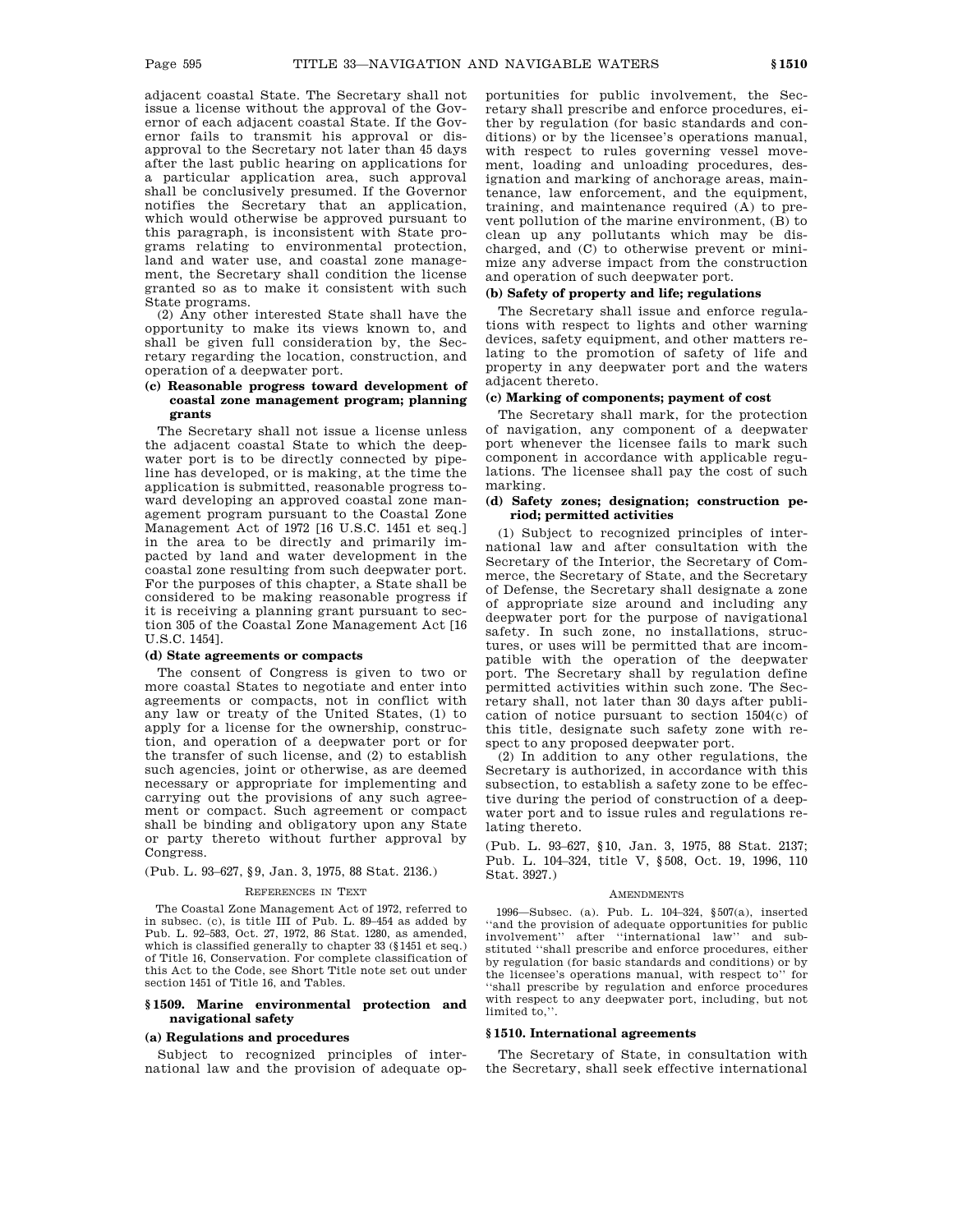adjacent coastal State. The Secretary shall not issue a license without the approval of the Governor of each adjacent coastal State. If the Governor fails to transmit his approval or disapproval to the Secretary not later than 45 days after the last public hearing on applications for a particular application area, such approval shall be conclusively presumed. If the Governor notifies the Secretary that an application, which would otherwise be approved pursuant to this paragraph, is inconsistent with State programs relating to environmental protection, land and water use, and coastal zone management, the Secretary shall condition the license granted so as to make it consistent with such State programs.

(2) Any other interested State shall have the opportunity to make its views known to, and shall be given full consideration by, the Secretary regarding the location, construction, and operation of a deepwater port.

# **(c) Reasonable progress toward development of coastal zone management program; planning grants**

The Secretary shall not issue a license unless the adjacent coastal State to which the deepwater port is to be directly connected by pipeline has developed, or is making, at the time the application is submitted, reasonable progress toward developing an approved coastal zone management program pursuant to the Coastal Zone Management Act of 1972 [16 U.S.C. 1451 et seq.] in the area to be directly and primarily impacted by land and water development in the coastal zone resulting from such deepwater port. For the purposes of this chapter, a State shall be considered to be making reasonable progress if it is receiving a planning grant pursuant to section 305 of the Coastal Zone Management Act [16 U.S.C. 1454].

### **(d) State agreements or compacts**

The consent of Congress is given to two or more coastal States to negotiate and enter into agreements or compacts, not in conflict with any law or treaty of the United States, (1) to apply for a license for the ownership, construction, and operation of a deepwater port or for the transfer of such license, and (2) to establish such agencies, joint or otherwise, as are deemed necessary or appropriate for implementing and carrying out the provisions of any such agreement or compact. Such agreement or compact shall be binding and obligatory upon any State or party thereto without further approval by Congress.

# (Pub. L. 93–627, §9, Jan. 3, 1975, 88 Stat. 2136.)

### REFERENCES IN TEXT

The Coastal Zone Management Act of 1972, referred to in subsec. (c), is title III of Pub. L. 89–454 as added by Pub. L. 92–583, Oct. 27, 1972, 86 Stat. 1280, as amended, which is classified generally to chapter 33 (§1451 et seq.) of Title 16, Conservation. For complete classification of this Act to the Code, see Short Title note set out under section 1451 of Title 16, and Tables.

### **§ 1509. Marine environmental protection and navigational safety**

### **(a) Regulations and procedures**

Subject to recognized principles of international law and the provision of adequate opportunities for public involvement, the Secretary shall prescribe and enforce procedures, either by regulation (for basic standards and conditions) or by the licensee's operations manual, with respect to rules governing vessel movement, loading and unloading procedures, designation and marking of anchorage areas, maintenance, law enforcement, and the equipment, training, and maintenance required (A) to prevent pollution of the marine environment, (B) to clean up any pollutants which may be discharged, and (C) to otherwise prevent or minimize any adverse impact from the construction and operation of such deepwater port.

### **(b) Safety of property and life; regulations**

The Secretary shall issue and enforce regulations with respect to lights and other warning devices, safety equipment, and other matters relating to the promotion of safety of life and property in any deepwater port and the waters adjacent thereto.

### **(c) Marking of components; payment of cost**

The Secretary shall mark, for the protection of navigation, any component of a deepwater port whenever the licensee fails to mark such component in accordance with applicable regulations. The licensee shall pay the cost of such marking.

# **(d) Safety zones; designation; construction period; permitted activities**

(1) Subject to recognized principles of international law and after consultation with the Secretary of the Interior, the Secretary of Commerce, the Secretary of State, and the Secretary of Defense, the Secretary shall designate a zone of appropriate size around and including any deepwater port for the purpose of navigational safety. In such zone, no installations, structures, or uses will be permitted that are incompatible with the operation of the deepwater port. The Secretary shall by regulation define permitted activities within such zone. The Secretary shall, not later than 30 days after publication of notice pursuant to section 1504(c) of this title, designate such safety zone with respect to any proposed deepwater port.

(2) In addition to any other regulations, the Secretary is authorized, in accordance with this subsection, to establish a safety zone to be effective during the period of construction of a deepwater port and to issue rules and regulations relating thereto.

(Pub. L. 93–627, §10, Jan. 3, 1975, 88 Stat. 2137; Pub. L. 104–324, title V, §508, Oct. 19, 1996, 110 Stat. 3927.)

#### **AMENDMENTS**

1996—Subsec. (a). Pub. L. 104–324, §507(a), inserted ''and the provision of adequate opportunities for public involvement'' after ''international law'' and substituted ''shall prescribe and enforce procedures, either by regulation (for basic standards and conditions) or by the licensee's operations manual, with respect to'' for ''shall prescribe by regulation and enforce procedures with respect to any deepwater port, including, but not limited to,''.

### **§ 1510. International agreements**

The Secretary of State, in consultation with the Secretary, shall seek effective international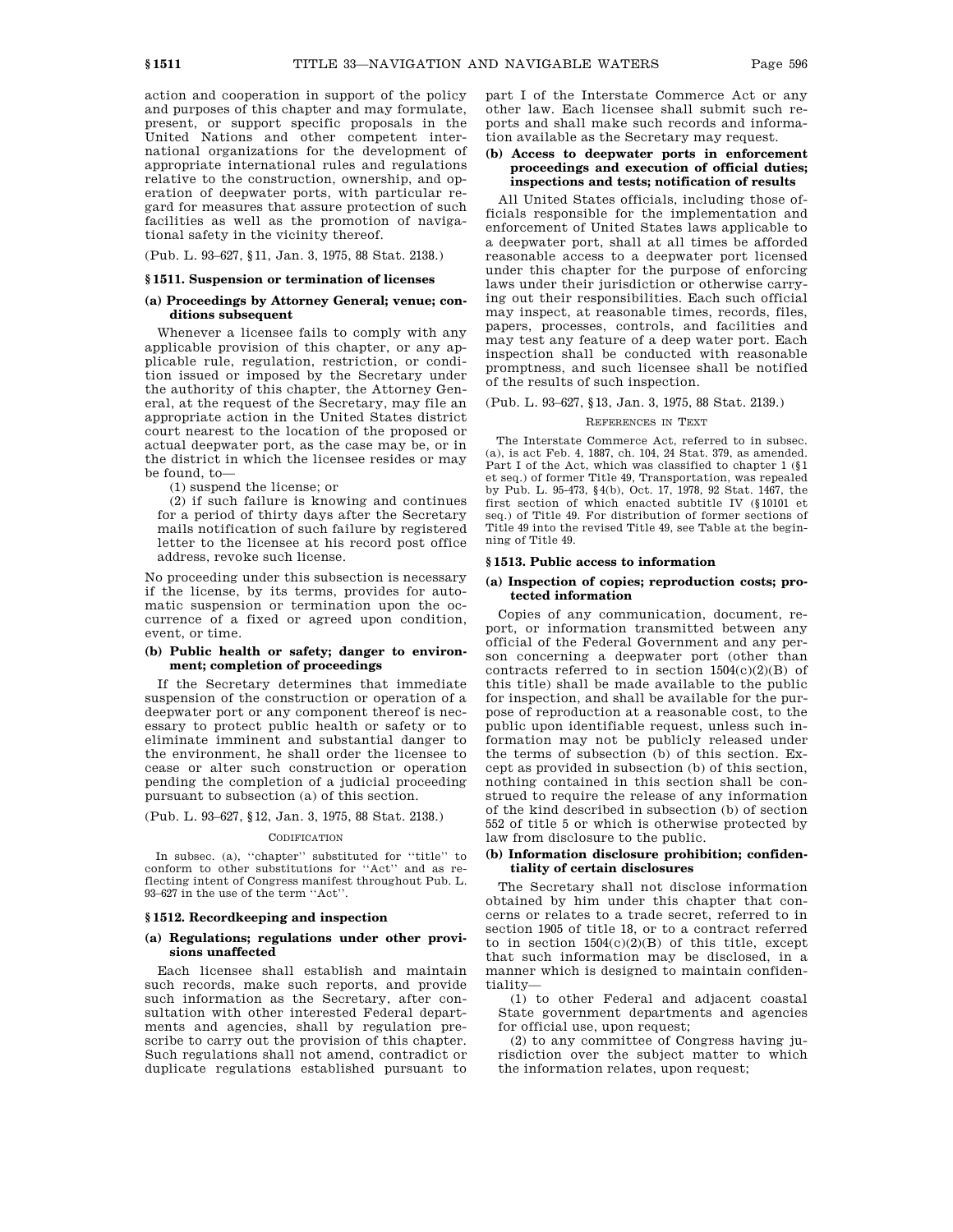action and cooperation in support of the policy and purposes of this chapter and may formulate, present, or support specific proposals in the United Nations and other competent international organizations for the development of appropriate international rules and regulations relative to the construction, ownership, and operation of deepwater ports, with particular regard for measures that assure protection of such facilities as well as the promotion of navigational safety in the vicinity thereof.

(Pub. L. 93–627, §11, Jan. 3, 1975, 88 Stat. 2138.)

### **§ 1511. Suspension or termination of licenses**

# **(a) Proceedings by Attorney General; venue; conditions subsequent**

Whenever a licensee fails to comply with any applicable provision of this chapter, or any applicable rule, regulation, restriction, or condition issued or imposed by the Secretary under the authority of this chapter, the Attorney General, at the request of the Secretary, may file an appropriate action in the United States district court nearest to the location of the proposed or actual deepwater port, as the case may be, or in the district in which the licensee resides or may be found, to—

(1) suspend the license; or

(2) if such failure is knowing and continues for a period of thirty days after the Secretary mails notification of such failure by registered letter to the licensee at his record post office address, revoke such license.

No proceeding under this subsection is necessary if the license, by its terms, provides for automatic suspension or termination upon the occurrence of a fixed or agreed upon condition, event, or time.

### **(b) Public health or safety; danger to environment; completion of proceedings**

If the Secretary determines that immediate suspension of the construction or operation of a deepwater port or any component thereof is necessary to protect public health or safety or to eliminate imminent and substantial danger to the environment, he shall order the licensee to cease or alter such construction or operation pending the completion of a judicial proceeding pursuant to subsection (a) of this section.

(Pub. L. 93–627, §12, Jan. 3, 1975, 88 Stat. 2138.)

#### **CODIFICATION**

In subsec. (a), ''chapter'' substituted for ''title'' to conform to other substitutions for ''Act'' and as reflecting intent of Congress manifest throughout Pub. L. 93–627 in the use of the term ''Act''.

### **§ 1512. Recordkeeping and inspection**

### **(a) Regulations; regulations under other provisions unaffected**

Each licensee shall establish and maintain such records, make such reports, and provide such information as the Secretary, after consultation with other interested Federal departments and agencies, shall by regulation prescribe to carry out the provision of this chapter. Such regulations shall not amend, contradict or duplicate regulations established pursuant to

part I of the Interstate Commerce Act or any other law. Each licensee shall submit such reports and shall make such records and information available as the Secretary may request.

# **(b) Access to deepwater ports in enforcement proceedings and execution of official duties; inspections and tests; notification of results**

All United States officials, including those officials responsible for the implementation and enforcement of United States laws applicable to a deepwater port, shall at all times be afforded reasonable access to a deepwater port licensed under this chapter for the purpose of enforcing laws under their jurisdiction or otherwise carrying out their responsibilities. Each such official may inspect, at reasonable times, records, files, papers, processes, controls, and facilities and may test any feature of a deep water port. Each inspection shall be conducted with reasonable promptness, and such licensee shall be notified of the results of such inspection.

### (Pub. L. 93–627, §13, Jan. 3, 1975, 88 Stat. 2139.)

#### REFERENCES IN TEXT

The Interstate Commerce Act, referred to in subsec. (a), is act Feb. 4, 1887, ch. 104, 24 Stat. 379, as amended. Part I of the Act, which was classified to chapter 1 (§1 et seq.) of former Title 49, Transportation, was repealed by Pub. L. 95-473, §4(b), Oct. 17, 1978, 92 Stat. 1467, the first section of which enacted subtitle IV (§10101 et seq.) of Title 49. For distribution of former sections of Title 49 into the revised Title 49, see Table at the beginning of Title 49.

### **§ 1513. Public access to information**

### **(a) Inspection of copies; reproduction costs; protected information**

Copies of any communication, document, report, or information transmitted between any official of the Federal Government and any person concerning a deepwater port (other than contracts referred to in section  $1504(c)(2)(B)$  of this title) shall be made available to the public for inspection, and shall be available for the purpose of reproduction at a reasonable cost, to the public upon identifiable request, unless such information may not be publicly released under the terms of subsection (b) of this section. Except as provided in subsection (b) of this section, nothing contained in this section shall be construed to require the release of any information of the kind described in subsection (b) of section 552 of title 5 or which is otherwise protected by law from disclosure to the public.

## **(b) Information disclosure prohibition; confidentiality of certain disclosures**

The Secretary shall not disclose information obtained by him under this chapter that concerns or relates to a trade secret, referred to in section 1905 of title 18, or to a contract referred to in section  $1504(c)(2)(B)$  of this title, except that such information may be disclosed, in a manner which is designed to maintain confidentiality—

(1) to other Federal and adjacent coastal State government departments and agencies for official use, upon request;

(2) to any committee of Congress having jurisdiction over the subject matter to which the information relates, upon request;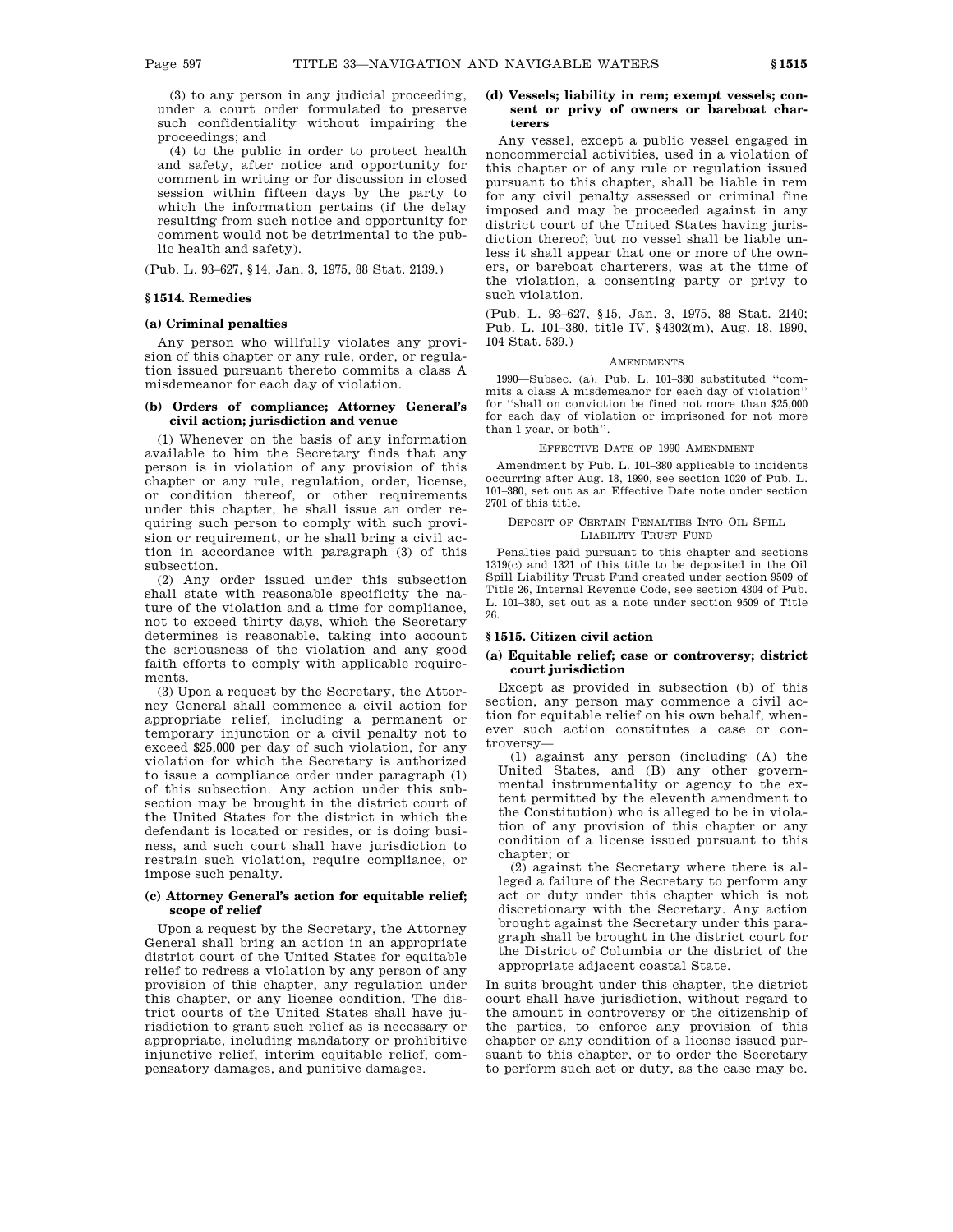(3) to any person in any judicial proceeding, under a court order formulated to preserve such confidentiality without impairing the proceedings; and

(4) to the public in order to protect health and safety, after notice and opportunity for comment in writing or for discussion in closed session within fifteen days by the party to which the information pertains (if the delay resulting from such notice and opportunity for comment would not be detrimental to the public health and safety).

(Pub. L. 93–627, §14, Jan. 3, 1975, 88 Stat. 2139.)

### **§ 1514. Remedies**

# **(a) Criminal penalties**

Any person who willfully violates any provision of this chapter or any rule, order, or regulation issued pursuant thereto commits a class A misdemeanor for each day of violation.

### **(b) Orders of compliance; Attorney General's civil action; jurisdiction and venue**

(1) Whenever on the basis of any information available to him the Secretary finds that any person is in violation of any provision of this chapter or any rule, regulation, order, license, or condition thereof, or other requirements under this chapter, he shall issue an order requiring such person to comply with such provision or requirement, or he shall bring a civil action in accordance with paragraph (3) of this subsection.

(2) Any order issued under this subsection shall state with reasonable specificity the nature of the violation and a time for compliance, not to exceed thirty days, which the Secretary determines is reasonable, taking into account the seriousness of the violation and any good faith efforts to comply with applicable requirements.

(3) Upon a request by the Secretary, the Attorney General shall commence a civil action for appropriate relief, including a permanent or temporary injunction or a civil penalty not to exceed \$25,000 per day of such violation, for any violation for which the Secretary is authorized to issue a compliance order under paragraph (1) of this subsection. Any action under this subsection may be brought in the district court of the United States for the district in which the defendant is located or resides, or is doing business, and such court shall have jurisdiction to restrain such violation, require compliance, or impose such penalty.

# **(c) Attorney General's action for equitable relief; scope of relief**

Upon a request by the Secretary, the Attorney General shall bring an action in an appropriate district court of the United States for equitable relief to redress a violation by any person of any provision of this chapter, any regulation under this chapter, or any license condition. The district courts of the United States shall have jurisdiction to grant such relief as is necessary or appropriate, including mandatory or prohibitive injunctive relief, interim equitable relief, compensatory damages, and punitive damages.

# **(d) Vessels; liability in rem; exempt vessels; consent or privy of owners or bareboat charterers**

Any vessel, except a public vessel engaged in noncommercial activities, used in a violation of this chapter or of any rule or regulation issued pursuant to this chapter, shall be liable in rem for any civil penalty assessed or criminal fine imposed and may be proceeded against in any district court of the United States having jurisdiction thereof; but no vessel shall be liable unless it shall appear that one or more of the owners, or bareboat charterers, was at the time of the violation, a consenting party or privy to such violation.

(Pub. L. 93–627, §15, Jan. 3, 1975, 88 Stat. 2140; Pub. L. 101–380, title IV, §4302(m), Aug. 18, 1990, 104 Stat. 539.)

### **AMENDMENTS**

1990—Subsec. (a). Pub. L. 101–380 substituted ''commits a class A misdemeanor for each day of violation'' for ''shall on conviction be fined not more than \$25,000 for each day of violation or imprisoned for not more than 1 year, or both''.

#### EFFECTIVE DATE OF 1990 AMENDMENT

Amendment by Pub. L. 101–380 applicable to incidents occurring after Aug. 18, 1990, see section 1020 of Pub. L. 101–380, set out as an Effective Date note under section 2701 of this title.

#### DEPOSIT OF CERTAIN PENALTIES INTO OIL SPILL LIABILITY TRUST FUND

Penalties paid pursuant to this chapter and sections 1319(c) and 1321 of this title to be deposited in the Oil Spill Liability Trust Fund created under section 9509 of Title 26, Internal Revenue Code, see section 4304 of Pub. L. 101–380, set out as a note under section 9509 of Title 26.

# **§ 1515. Citizen civil action**

### **(a) Equitable relief; case or controversy; district court jurisdiction**

Except as provided in subsection (b) of this section, any person may commence a civil action for equitable relief on his own behalf, whenever such action constitutes a case or controversy—

(1) against any person (including (A) the United States, and (B) any other governmental instrumentality or agency to the extent permitted by the eleventh amendment to the Constitution) who is alleged to be in violation of any provision of this chapter or any condition of a license issued pursuant to this chapter; or

 $(2)$  against the Secretary where there is alleged a failure of the Secretary to perform any act or duty under this chapter which is not discretionary with the Secretary. Any action brought against the Secretary under this paragraph shall be brought in the district court for the District of Columbia or the district of the appropriate adjacent coastal State.

In suits brought under this chapter, the district court shall have jurisdiction, without regard to the amount in controversy or the citizenship of the parties, to enforce any provision of this chapter or any condition of a license issued pursuant to this chapter, or to order the Secretary to perform such act or duty, as the case may be.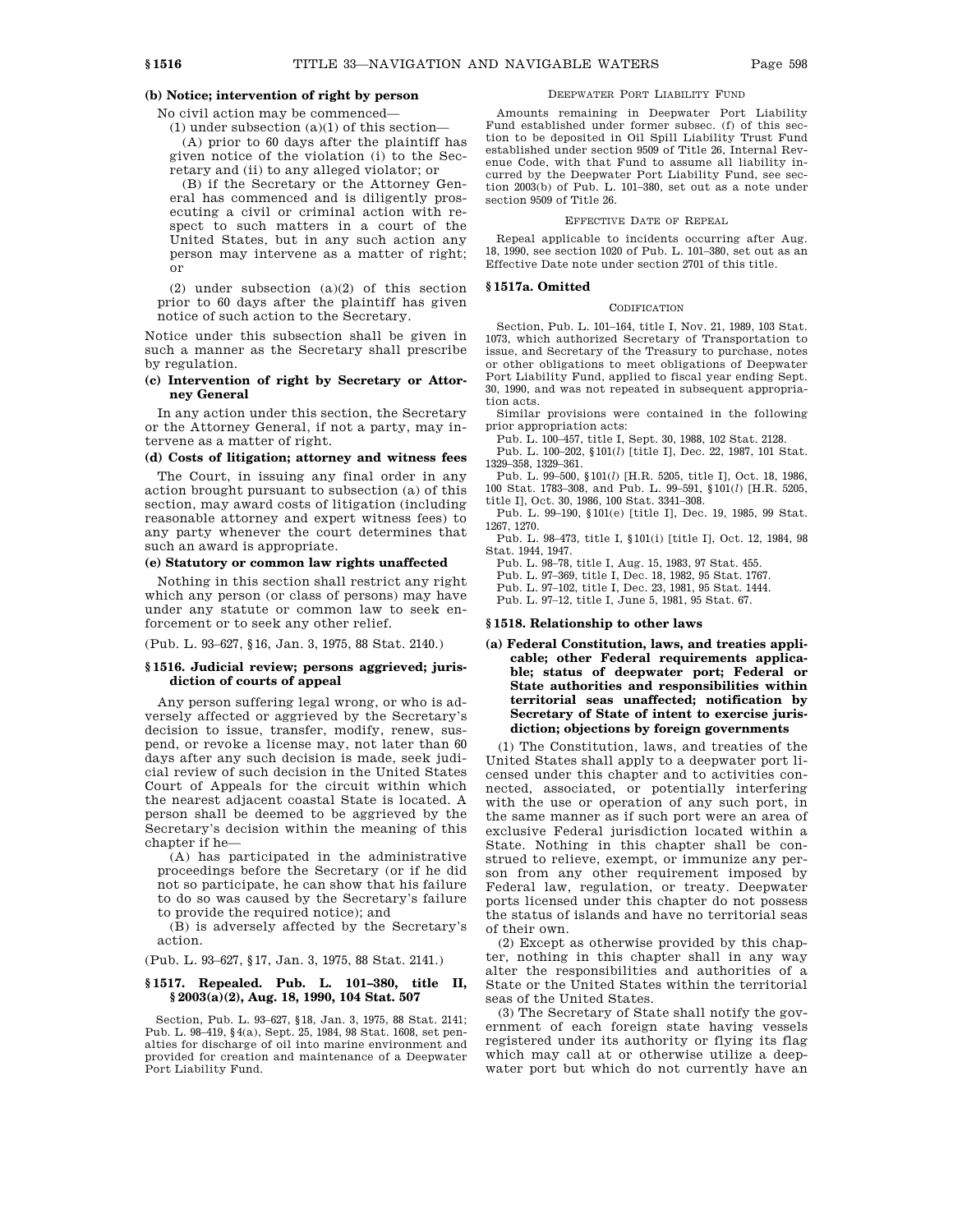# **(b) Notice; intervention of right by person**

No civil action may be commenced—

(1) under subsection  $(a)(1)$  of this section— (A) prior to 60 days after the plaintiff has given notice of the violation (i) to the Secretary and (ii) to any alleged violator; or

(B) if the Secretary or the Attorney General has commenced and is diligently prosecuting a civil or criminal action with respect to such matters in a court of the United States, but in any such action any person may intervene as a matter of right; or

(2) under subsection (a)(2) of this section prior to 60 days after the plaintiff has given notice of such action to the Secretary.

Notice under this subsection shall be given in such a manner as the Secretary shall prescribe by regulation.

### **(c) Intervention of right by Secretary or Attorney General**

In any action under this section, the Secretary or the Attorney General, if not a party, may intervene as a matter of right.

# **(d) Costs of litigation; attorney and witness fees**

The Court, in issuing any final order in any action brought pursuant to subsection (a) of this section, may award costs of litigation (including reasonable attorney and expert witness fees) to any party whenever the court determines that such an award is appropriate.

# **(e) Statutory or common law rights unaffected**

Nothing in this section shall restrict any right which any person (or class of persons) may have under any statute or common law to seek enforcement or to seek any other relief.

(Pub. L. 93–627, §16, Jan. 3, 1975, 88 Stat. 2140.)

## **§ 1516. Judicial review; persons aggrieved; jurisdiction of courts of appeal**

Any person suffering legal wrong, or who is adversely affected or aggrieved by the Secretary's decision to issue, transfer, modify, renew, suspend, or revoke a license may, not later than 60 days after any such decision is made, seek judicial review of such decision in the United States Court of Appeals for the circuit within which the nearest adjacent coastal State is located. A person shall be deemed to be aggrieved by the Secretary's decision within the meaning of this chapter if he—

(A) has participated in the administrative proceedings before the Secretary (or if he did not so participate, he can show that his failure to do so was caused by the Secretary's failure to provide the required notice); and

(B) is adversely affected by the Secretary's action.

(Pub. L. 93–627, §17, Jan. 3, 1975, 88 Stat. 2141.)

### **§ 1517. Repealed. Pub. L. 101–380, title II, § 2003(a)(2), Aug. 18, 1990, 104 Stat. 507**

Section, Pub. L. 93–627, §18, Jan. 3, 1975, 88 Stat. 2141; Pub. L. 98–419, §4(a), Sept. 25, 1984, 98 Stat. 1608, set penalties for discharge of oil into marine environment and provided for creation and maintenance of a Deepwater Port Liability Fund.

### DEEPWATER PORT LIABILITY FUND

Amounts remaining in Deepwater Port Liability Fund established under former subsec. (f) of this section to be deposited in Oil Spill Liability Trust Fund established under section 9509 of Title 26, Internal Revenue Code, with that Fund to assume all liability incurred by the Deepwater Port Liability Fund, see section 2003(b) of Pub. L. 101–380, set out as a note under section 9509 of Title 26.

#### EFFECTIVE DATE OF REPEAL

Repeal applicable to incidents occurring after Aug. 18, 1990, see section 1020 of Pub. L. 101–380, set out as an Effective Date note under section 2701 of this title.

### **§ 1517a. Omitted**

#### **CODIFICATION**

Section, Pub. L. 101–164, title I, Nov. 21, 1989, 103 Stat. 1073, which authorized Secretary of Transportation to issue, and Secretary of the Treasury to purchase, notes or other obligations to meet obligations of Deepwater Port Liability Fund, applied to fiscal year ending Sept. 30, 1990, and was not repeated in subsequent appropriation acts.

Similar provisions were contained in the following prior appropriation acts:

Pub. L. 100–457, title I, Sept. 30, 1988, 102 Stat. 2128.

Pub. L. 100–202, §101(*l*) [title I], Dec. 22, 1987, 101 Stat. 1329–358, 1329–361.

Pub. L. 99–500, §101(*l*) [H.R. 5205, title I], Oct. 18, 1986, 100 Stat. 1783–308, and Pub. L. 99–591, §101(*l*) [H.R. 5205, title I], Oct. 30, 1986, 100 Stat. 3341–308.

Pub. L. 99–190, §101(e) [title I], Dec. 19, 1985, 99 Stat. 1267, 1270.

Pub. L. 98–473, title I, §101(i) [title I], Oct. 12, 1984, 98 Stat. 1944, 1947.

Pub. L. 98–78, title I, Aug. 15, 1983, 97 Stat. 455. Pub. L. 97–369, title I, Dec. 18, 1982, 95 Stat. 1767.

Pub. L. 97–102, title I, Dec. 23, 1981, 95 Stat. 1444.

Pub. L. 97–12, title I, June 5, 1981, 95 Stat. 67.

### **§ 1518. Relationship to other laws**

**(a) Federal Constitution, laws, and treaties applicable; other Federal requirements applicable; status of deepwater port; Federal or State authorities and responsibilities within territorial seas unaffected; notification by Secretary of State of intent to exercise jurisdiction; objections by foreign governments**

(1) The Constitution, laws, and treaties of the United States shall apply to a deepwater port licensed under this chapter and to activities connected, associated, or potentially interfering with the use or operation of any such port, in the same manner as if such port were an area of exclusive Federal jurisdiction located within a State. Nothing in this chapter shall be construed to relieve, exempt, or immunize any person from any other requirement imposed by Federal law, regulation, or treaty. Deepwater ports licensed under this chapter do not possess the status of islands and have no territorial seas of their own.

(2) Except as otherwise provided by this chapter, nothing in this chapter shall in any way alter the responsibilities and authorities of a State or the United States within the territorial seas of the United States.

(3) The Secretary of State shall notify the government of each foreign state having vessels registered under its authority or flying its flag which may call at or otherwise utilize a deepwater port but which do not currently have an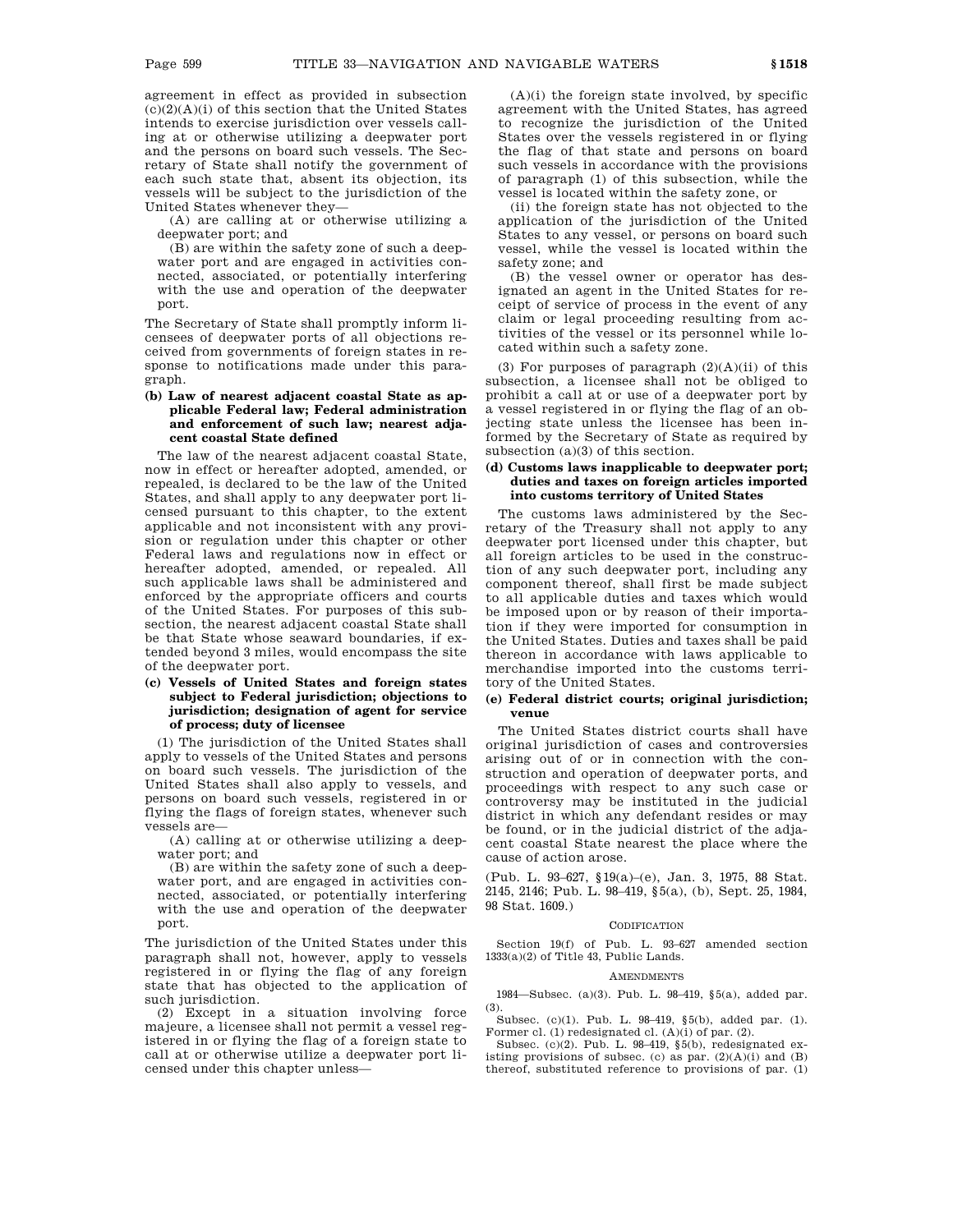agreement in effect as provided in subsection  $(c)(2)(A)(i)$  of this section that the United States intends to exercise jurisdiction over vessels calling at or otherwise utilizing a deepwater port and the persons on board such vessels. The Secretary of State shall notify the government of each such state that, absent its objection, its vessels will be subject to the jurisdiction of the United States whenever they—

(A) are calling at or otherwise utilizing a deepwater port; and

(B) are within the safety zone of such a deepwater port and are engaged in activities connected, associated, or potentially interfering with the use and operation of the deepwater port.

The Secretary of State shall promptly inform licensees of deepwater ports of all objections received from governments of foreign states in response to notifications made under this paragraph.

# **(b) Law of nearest adjacent coastal State as applicable Federal law; Federal administration and enforcement of such law; nearest adjacent coastal State defined**

The law of the nearest adjacent coastal State, now in effect or hereafter adopted, amended, or repealed, is declared to be the law of the United States, and shall apply to any deepwater port licensed pursuant to this chapter, to the extent applicable and not inconsistent with any provision or regulation under this chapter or other Federal laws and regulations now in effect or hereafter adopted, amended, or repealed. All such applicable laws shall be administered and enforced by the appropriate officers and courts of the United States. For purposes of this subsection, the nearest adjacent coastal State shall be that State whose seaward boundaries, if extended beyond 3 miles, would encompass the site of the deepwater port.

# **(c) Vessels of United States and foreign states subject to Federal jurisdiction; objections to jurisdiction; designation of agent for service of process; duty of licensee**

(1) The jurisdiction of the United States shall apply to vessels of the United States and persons on board such vessels. The jurisdiction of the United States shall also apply to vessels, and persons on board such vessels, registered in or flying the flags of foreign states, whenever such vessels are—

(A) calling at or otherwise utilizing a deepwater port; and

(B) are within the safety zone of such a deepwater port, and are engaged in activities connected, associated, or potentially interfering with the use and operation of the deepwater port.

The jurisdiction of the United States under this paragraph shall not, however, apply to vessels registered in or flying the flag of any foreign state that has objected to the application of such jurisdiction.

(2) Except in a situation involving force majeure, a licensee shall not permit a vessel registered in or flying the flag of a foreign state to call at or otherwise utilize a deepwater port licensed under this chapter unless—

 $(A)(i)$  the foreign state involved, by specific agreement with the United States, has agreed to recognize the jurisdiction of the United States over the vessels registered in or flying the flag of that state and persons on board such vessels in accordance with the provisions of paragraph (1) of this subsection, while the vessel is located within the safety zone, or

(ii) the foreign state has not objected to the application of the jurisdiction of the United States to any vessel, or persons on board such vessel, while the vessel is located within the safety zone; and

(B) the vessel owner or operator has designated an agent in the United States for receipt of service of process in the event of any claim or legal proceeding resulting from activities of the vessel or its personnel while located within such a safety zone.

(3) For purposes of paragraph  $(2)(A)(ii)$  of this subsection, a licensee shall not be obliged to prohibit a call at or use of a deepwater port by a vessel registered in or flying the flag of an objecting state unless the licensee has been informed by the Secretary of State as required by subsection (a)(3) of this section.

## **(d) Customs laws inapplicable to deepwater port; duties and taxes on foreign articles imported into customs territory of United States**

The customs laws administered by the Secretary of the Treasury shall not apply to any deepwater port licensed under this chapter, but all foreign articles to be used in the construction of any such deepwater port, including any component thereof, shall first be made subject to all applicable duties and taxes which would be imposed upon or by reason of their importation if they were imported for consumption in the United States. Duties and taxes shall be paid thereon in accordance with laws applicable to merchandise imported into the customs territory of the United States.

# **(e) Federal district courts; original jurisdiction; venue**

The United States district courts shall have original jurisdiction of cases and controversies arising out of or in connection with the construction and operation of deepwater ports, and proceedings with respect to any such case or controversy may be instituted in the judicial district in which any defendant resides or may be found, or in the judicial district of the adjacent coastal State nearest the place where the cause of action arose.

(Pub. L. 93–627, §19(a)–(e), Jan. 3, 1975, 88 Stat. 2145, 2146; Pub. L. 98–419, §5(a), (b), Sept. 25, 1984, 98 Stat. 1609.)

#### **CODIFICATION**

Section 19(f) of Pub. L. 93–627 amended section 1333(a)(2) of Title 43, Public Lands.

# **AMENDMENTS**

1984—Subsec. (a)(3). Pub. L. 98–419, §5(a), added par. (3).

Subsec. (c)(1). Pub. L. 98–419, §5(b), added par. (1). Former cl. (1) redesignated cl. (A)(i) of par. (2).

Subsec. (c)(2). Pub. L. 98–419, §5(b), redesignated existing provisions of subsec. (c) as par.  $(2)(A)(i)$  and  $(B)$ thereof, substituted reference to provisions of par. (1)